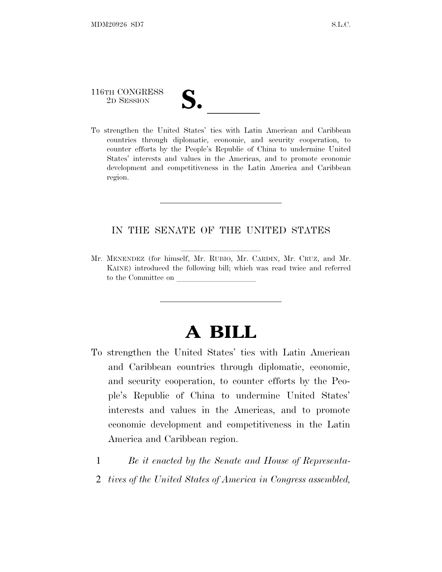## 116TH CONGRESS

116TH CONGRESS<br>
2D SESSION<br>
To strengthen the United States' ties with Latin American and Caribbean countries through diplomatic, economic, and security cooperation, to counter efforts by the People's Republic of China to undermine United States' interests and values in the Americas, and to promote economic development and competitiveness in the Latin America and Caribbean region.

#### IN THE SENATE OF THE UNITED STATES

Mr. MENENDEZ (for himself, Mr. RUBIO, Mr. CARDIN, Mr. CRUZ, and Mr. KAINE) introduced the following bill; which was read twice and referred to the Committee on

## **A BILL**

- To strengthen the United States' ties with Latin American and Caribbean countries through diplomatic, economic, and security cooperation, to counter efforts by the People's Republic of China to undermine United States' interests and values in the Americas, and to promote economic development and competitiveness in the Latin America and Caribbean region.
	- 1 *Be it enacted by the Senate and House of Representa-*
	- 2 *tives of the United States of America in Congress assembled,*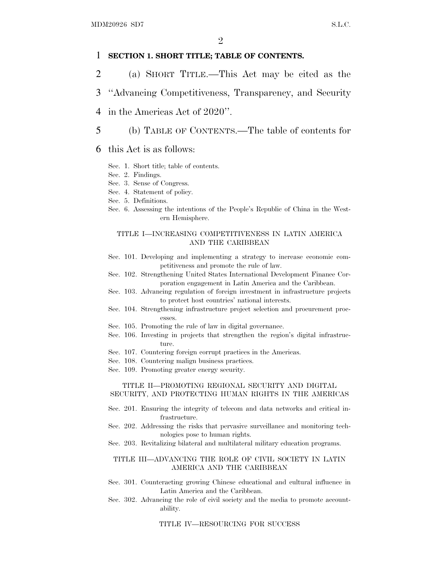#### 1 **SECTION 1. SHORT TITLE; TABLE OF CONTENTS.**

- 2 (a) SHORT TITLE.—This Act may be cited as the
- 3 ''Advancing Competitiveness, Transparency, and Security
- 4 in the Americas Act of 2020''.
- 5 (b) TABLE OF CONTENTS.—The table of contents for
- 6 this Act is as follows:
	- Sec. 1. Short title; table of contents.
	- Sec. 2. Findings.
	- Sec. 3. Sense of Congress.
	- Sec. 4. Statement of policy.
	- Sec. 5. Definitions.
	- Sec. 6. Assessing the intentions of the People's Republic of China in the Western Hemisphere.

#### TITLE I—INCREASING COMPETITIVENESS IN LATIN AMERICA AND THE CARIBBEAN

- Sec. 101. Developing and implementing a strategy to increase economic competitiveness and promote the rule of law.
- Sec. 102. Strengthening United States International Development Finance Corporation engagement in Latin America and the Caribbean.
- Sec. 103. Advancing regulation of foreign investment in infrastructure projects to protect host countries' national interests.
- Sec. 104. Strengthening infrastructure project selection and procurement processes.
- Sec. 105. Promoting the rule of law in digital governance.
- Sec. 106. Investing in projects that strengthen the region's digital infrastructure.
- Sec. 107. Countering foreign corrupt practices in the Americas.
- Sec. 108. Countering malign business practices.
- Sec. 109. Promoting greater energy security.

#### TITLE II—PROMOTING REGIONAL SECURITY AND DIGITAL SECURITY, AND PROTECTING HUMAN RIGHTS IN THE AMERICAS

- Sec. 201. Ensuring the integrity of telecom and data networks and critical infrastructure.
- Sec. 202. Addressing the risks that pervasive surveillance and monitoring technologies pose to human rights.
- Sec. 203. Revitalizing bilateral and multilateral military education programs.

#### TITLE III—ADVANCING THE ROLE OF CIVIL SOCIETY IN LATIN AMERICA AND THE CARIBBEAN

- Sec. 301. Counteracting growing Chinese educational and cultural influence in Latin America and the Caribbean.
- Sec. 302. Advancing the role of civil society and the media to promote accountability.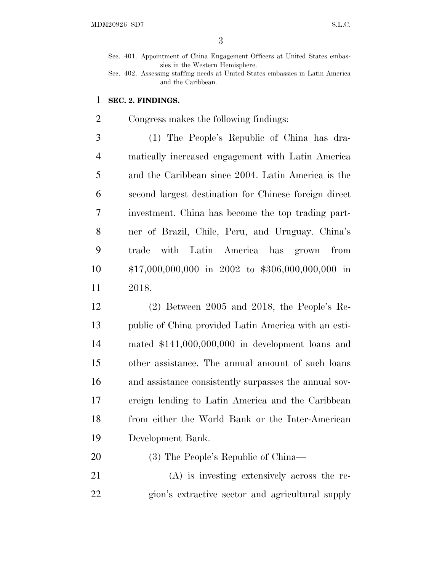Sec. 401. Appointment of China Engagement Officers at United States embassies in the Western Hemisphere.

#### **SEC. 2. FINDINGS.**

Congress makes the following findings:

 (1) The People's Republic of China has dra- matically increased engagement with Latin America and the Caribbean since 2004. Latin America is the second largest destination for Chinese foreign direct investment. China has become the top trading part- ner of Brazil, Chile, Peru, and Uruguay. China's trade with Latin America has grown from \$17,000,000,000 in 2002 to \$306,000,000,000 in 2018.

 (2) Between 2005 and 2018, the People's Re- public of China provided Latin America with an esti- mated \$141,000,000,000 in development loans and other assistance. The annual amount of such loans and assistance consistently surpasses the annual sov- ereign lending to Latin America and the Caribbean from either the World Bank or the Inter-American Development Bank.

- (3) The People's Republic of China—
- (A) is investing extensively across the re-gion's extractive sector and agricultural supply

Sec. 402. Assessing staffing needs at United States embassies in Latin America and the Caribbean.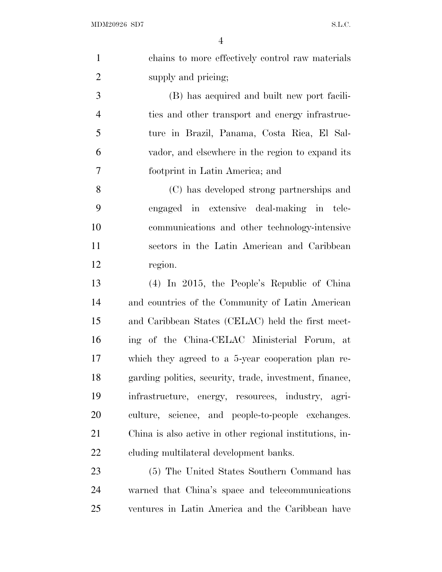| $\mathbf{1}$   | chains to more effectively control raw materials         |
|----------------|----------------------------------------------------------|
| $\overline{2}$ | supply and pricing;                                      |
| 3              | (B) has acquired and built new port facili-              |
| $\overline{4}$ | ties and other transport and energy infrastruc-          |
| 5              | ture in Brazil, Panama, Costa Rica, El Sal-              |
| 6              | vador, and elsewhere in the region to expand its         |
| $\tau$         | footprint in Latin America; and                          |
| 8              | (C) has developed strong partnerships and                |
| 9              | engaged in extensive deal-making in tele-                |
| 10             | communications and other technology-intensive            |
| 11             | sectors in the Latin American and Caribbean              |
| 12             | region.                                                  |
| 13             | (4) In 2015, the People's Republic of China              |
| 14             | and countries of the Community of Latin American         |
| 15             | and Caribbean States (CELAC) held the first meet-        |
| 16             | ing of the China-CELAC Ministerial Forum, at             |
| 17             | which they agreed to a 5-year cooperation plan re-       |
| 18             | garding politics, security, trade, investment, finance,  |
| 19             | infrastructure, energy, resources, industry, agri-       |
| 20             | culture, science, and people-to-people exchanges.        |
| 21             | China is also active in other regional institutions, in- |
| 22             | cluding multilateral development banks.                  |
| 23             | (5) The United States Southern Command has               |
| 24             | warned that China's space and telecommunications         |
| 25             | ventures in Latin America and the Caribbean have         |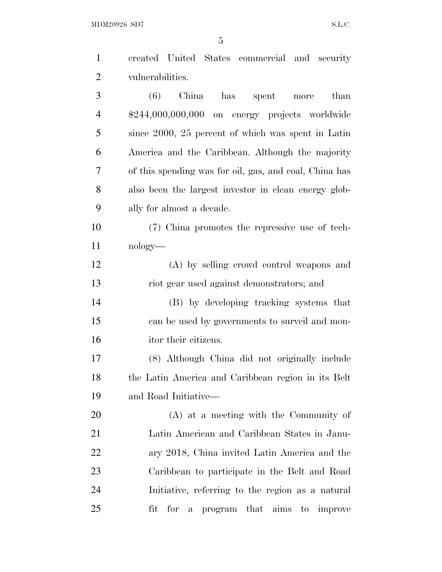$\rm MDM20926 \,\, SD7 \,\, \rm S.L.C.$ 

| $\mathbf{1}$   | created United States commercial and security          |
|----------------|--------------------------------------------------------|
| $\overline{2}$ | vulnerabilities.                                       |
| 3              | China<br>(6)<br>has spent<br>than<br>$_{\rm more}$     |
| $\overline{4}$ | \$244,000,000,000 on energy projects worldwide         |
| 5              | since 2000, 25 percent of which was spent in Latin     |
| 6              | America and the Caribbean. Although the majority       |
| 7              | of this spending was for oil, gas, and coal, China has |
| 8              | also been the largest investor in clean energy glob-   |
| 9              | ally for almost a decade.                              |
| 10             | (7) China promotes the repressive use of tech-         |
| 11             | nology—                                                |
| 12             | (A) by selling crowd control weapons and               |
| 13             | riot gear used against demonstrators; and              |
| 14             | (B) by developing tracking systems that                |
| 15             | can be used by governments to surveil and mon-         |
| 16             | itor their citizens.                                   |
| 17             | (8) Although China did not originally include          |
| 18             | the Latin America and Caribbean region in its Belt     |
| 19             | and Road Initiative—                                   |
| 20             | $(A)$ at a meeting with the Community of               |
| 21             | Latin American and Caribbean States in Janu-           |
| 22             | ary 2018, China invited Latin America and the          |
| 23             | Caribbean to participate in the Belt and Road          |
| 24             | Initiative, referring to the region as a natural       |
| 25             | fit<br>for<br>a program that aims to improve           |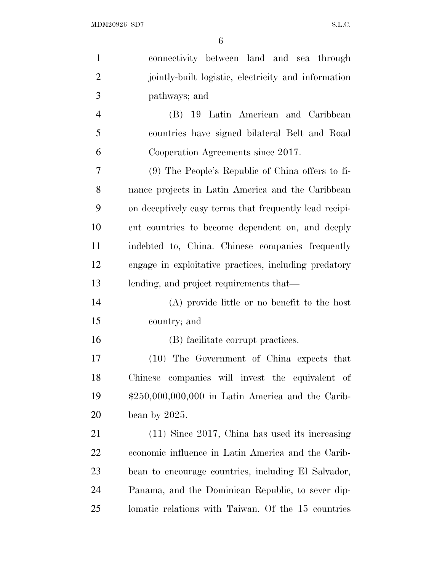| $\mathbf{1}$   | connectivity between land and sea through              |
|----------------|--------------------------------------------------------|
| $\overline{2}$ | jointly-built logistic, electricity and information    |
| 3              | pathways; and                                          |
| $\overline{4}$ | (B) 19 Latin American and Caribbean                    |
| 5              | countries have signed bilateral Belt and Road          |
| 6              | Cooperation Agreements since 2017.                     |
| 7              | (9) The People's Republic of China offers to fi-       |
| 8              | nance projects in Latin America and the Caribbean      |
| 9              | on deceptively easy terms that frequently lead recipi- |
| 10             | ent countries to become dependent on, and deeply       |
| 11             | indebted to, China. Chinese companies frequently       |
| 12             | engage in exploitative practices, including predatory  |
| 13             | lending, and project requirements that—                |
| 14             | (A) provide little or no benefit to the host           |
| 15             | country; and                                           |
| 16             | (B) facilitate corrupt practices.                      |
| 17             | (10) The Government of China expects that              |
| 18             | Chinese companies will invest the equivalent of        |
| 19             | $$250,000,000,000$ in Latin America and the Carib-     |
| 20             | bean by $2025$ .                                       |
| 21             | $(11)$ Since 2017, China has used its increasing       |
| 22             | economic influence in Latin America and the Carib-     |
| 23             | bean to encourage countries, including El Salvador,    |
| 24             | Panama, and the Dominican Republic, to sever dip-      |
| 25             | lomatic relations with Taiwan. Of the 15 countries     |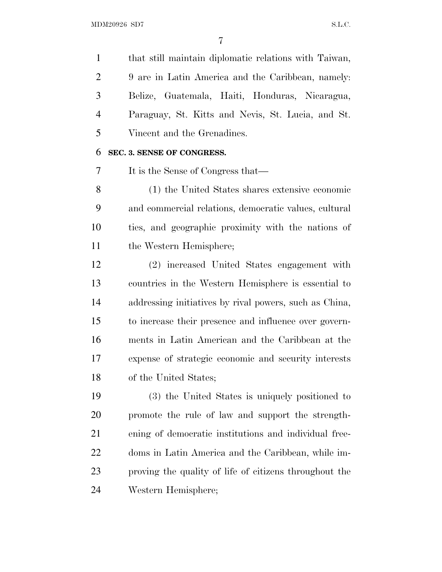that still maintain diplomatic relations with Taiwan, 9 are in Latin America and the Caribbean, namely: Belize, Guatemala, Haiti, Honduras, Nicaragua, Paraguay, St. Kitts and Nevis, St. Lucia, and St. Vincent and the Grenadines.

#### **SEC. 3. SENSE OF CONGRESS.**

It is the Sense of Congress that—

 (1) the United States shares extensive economic and commercial relations, democratic values, cultural ties, and geographic proximity with the nations of the Western Hemisphere;

 (2) increased United States engagement with countries in the Western Hemisphere is essential to addressing initiatives by rival powers, such as China, to increase their presence and influence over govern- ments in Latin American and the Caribbean at the expense of strategic economic and security interests of the United States;

 (3) the United States is uniquely positioned to promote the rule of law and support the strength- ening of democratic institutions and individual free- doms in Latin America and the Caribbean, while im- proving the quality of life of citizens throughout the Western Hemisphere;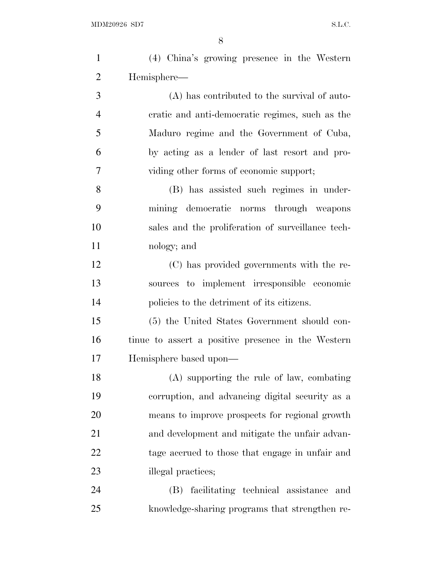| $\mathbf{1}$   | (4) China's growing presence in the Western        |
|----------------|----------------------------------------------------|
| $\overline{2}$ | Hemisphere-                                        |
| 3              | (A) has contributed to the survival of auto-       |
| $\overline{4}$ | cratic and anti-democratic regimes, such as the    |
| 5              | Maduro regime and the Government of Cuba,          |
| 6              | by acting as a lender of last resort and pro-      |
| 7              | viding other forms of economic support;            |
| 8              | (B) has assisted such regimes in under-            |
| 9              | mining democratic norms through weapons            |
| 10             | sales and the proliferation of surveillance tech-  |
| 11             | nology; and                                        |
| 12             | (C) has provided governments with the re-          |
| 13             | sources to implement irresponsible economic        |
| 14             | policies to the detriment of its citizens.         |
| 15             | (5) the United States Government should con-       |
| 16             | tinue to assert a positive presence in the Western |
| 17             | Hemisphere based upon—                             |
| 18             | (A) supporting the rule of law, combating          |
| 19             | corruption, and advancing digital security as a    |
| 20             | means to improve prospects for regional growth     |
| 21             | and development and mitigate the unfair advan-     |
| 22             | tage accrued to those that engage in unfair and    |
| 23             | illegal practices;                                 |
| 24             | facilitating technical assistance<br>(B)<br>and    |
| 25             | knowledge-sharing programs that strengthen re-     |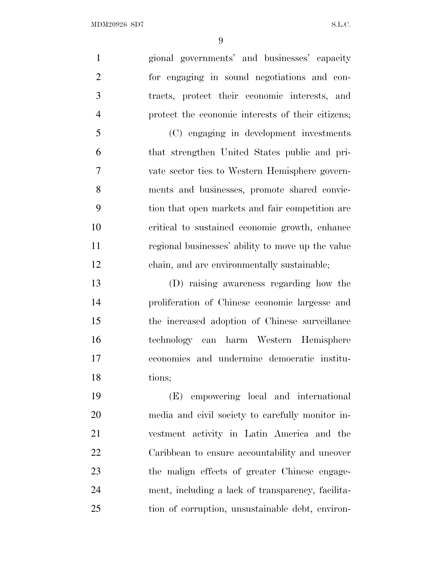gional governments' and businesses' capacity for engaging in sound negotiations and con- tracts, protect their economic interests, and protect the economic interests of their citizens;

 (C) engaging in development investments that strengthen United States public and pri- vate sector ties to Western Hemisphere govern- ments and businesses, promote shared convic- tion that open markets and fair competition are critical to sustained economic growth, enhance regional businesses' ability to move up the value chain, and are environmentally sustainable;

 (D) raising awareness regarding how the proliferation of Chinese economic largesse and the increased adoption of Chinese surveillance technology can harm Western Hemisphere economies and undermine democratic institu-tions;

 (E) empowering local and international media and civil society to carefully monitor in- vestment activity in Latin America and the Caribbean to ensure accountability and uncover the malign effects of greater Chinese engage- ment, including a lack of transparency, facilita-tion of corruption, unsustainable debt, environ-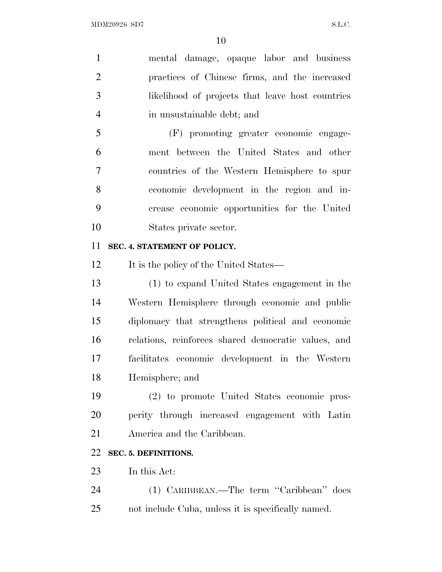| $\mathbf{1}$   | mental damage, opaque labor and business            |
|----------------|-----------------------------------------------------|
| $\overline{2}$ | practices of Chinese firms, and the increased       |
| 3              | likelihood of projects that leave host countries    |
| $\overline{4}$ | in unsustainable debt; and                          |
| 5              | (F) promoting greater economic engage-              |
| 6              | ment between the United States and other            |
| $\overline{7}$ | countries of the Western Hemisphere to spur         |
| 8              | economic development in the region and in-          |
| 9              | crease economic opportunities for the United        |
| 10             | States private sector.                              |
| 11             | SEC. 4. STATEMENT OF POLICY.                        |
| 12             | It is the policy of the United States—              |
| 13             | (1) to expand United States engagement in the       |
| 14             | Western Hemisphere through economic and public      |
| 15             | diplomacy that strengthens political and economic   |
| 16             | relations, reinforces shared democratic values, and |
| 17             | facilitates economic development in the Western     |
| 18             | Hemisphere; and                                     |
| 19             | (2) to promote United States economic pros-         |
| 20             | perity through increased engagement with Latin      |
| 21             | America and the Caribbean.                          |
| 22             | SEC. 5. DEFINITIONS.                                |
| 23             | In this Act:                                        |
| 24             | (1) CARIBBEAN.—The term "Caribbean" does            |
| 25             | not include Cuba, unless it is specifically named.  |
|                |                                                     |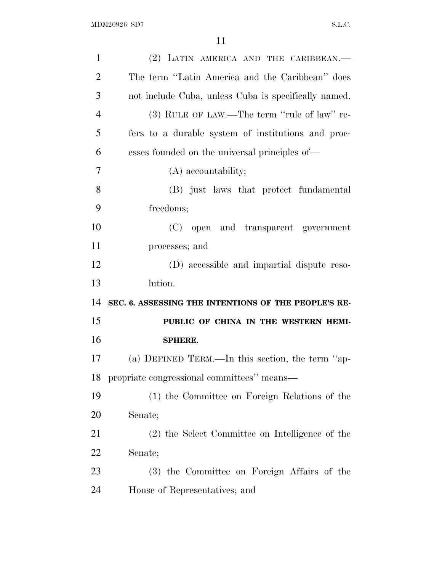| $\mathbf{1}$   | (2) LATIN AMERICA AND THE CARIBBEAN.                 |
|----------------|------------------------------------------------------|
| $\overline{2}$ | The term "Latin America and the Caribbean" does      |
| 3              | not include Cuba, unless Cuba is specifically named. |
| $\overline{4}$ | (3) RULE OF LAW.—The term "rule of law" re-          |
| 5              | fers to a durable system of institutions and proc-   |
| 6              | esses founded on the universal principles of—        |
| 7              | (A) accountability;                                  |
| 8              | (B) just laws that protect fundamental               |
| 9              | freedoms;                                            |
| 10             | (C) open and transparent government                  |
| 11             | processes; and                                       |
| 12             | (D) accessible and impartial dispute reso-           |
|                |                                                      |
| 13             | lution.                                              |
| 14             | SEC. 6. ASSESSING THE INTENTIONS OF THE PEOPLE'S RE- |
| 15             | PUBLIC OF CHINA IN THE WESTERN HEMI-                 |
| 16             | SPHERE.                                              |
| 17             | (a) DEFINED TERM.—In this section, the term "ap-     |
| 18             | propriate congressional committees" means—           |
| 19             | (1) the Committee on Foreign Relations of the        |
| 20             | Senate;                                              |
| 21             | (2) the Select Committee on Intelligence of the      |
| 22             | Senate;                                              |
| 23             | (3) the Committee on Foreign Affairs of the          |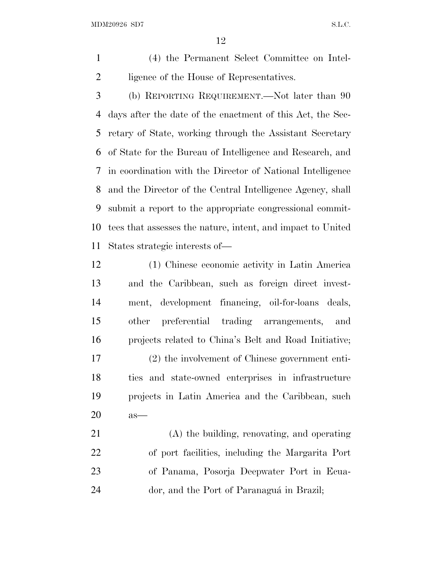MDM20926 SD7 S.L.C.

 (4) the Permanent Select Committee on Intel-2 ligence of the House of Representatives.

 (b) REPORTING REQUIREMENT.—Not later than 90 days after the date of the enactment of this Act, the Sec- retary of State, working through the Assistant Secretary of State for the Bureau of Intelligence and Research, and in coordination with the Director of National Intelligence and the Director of the Central Intelligence Agency, shall submit a report to the appropriate congressional commit- tees that assesses the nature, intent, and impact to United States strategic interests of—

 (1) Chinese economic activity in Latin America and the Caribbean, such as foreign direct invest- ment, development financing, oil-for-loans deals, other preferential trading arrangements, and projects related to China's Belt and Road Initiative; (2) the involvement of Chinese government enti- ties and state-owned enterprises in infrastructure projects in Latin America and the Caribbean, such as—

 (A) the building, renovating, and operating of port facilities, including the Margarita Port of Panama, Posorja Deepwater Port in Ecua-24 dor, and the Port of Paranaguá in Brazil;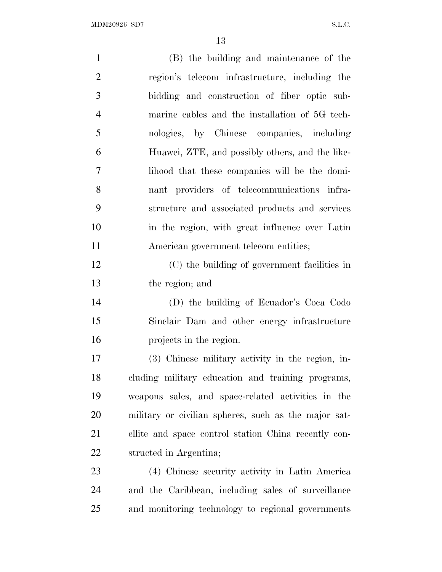| $\mathbf{1}$   | (B) the building and maintenance of the              |
|----------------|------------------------------------------------------|
| $\overline{2}$ | region's telecom infrastructure, including the       |
| 3              | bidding and construction of fiber optic sub-         |
| $\overline{4}$ | marine cables and the installation of 5G tech-       |
| 5              | nologies, by Chinese companies, including            |
| 6              | Huawei, ZTE, and possibly others, and the like-      |
| 7              | lihood that these companies will be the domi-        |
| 8              | nant providers of telecommunications infra-          |
| 9              | structure and associated products and services       |
| 10             | in the region, with great influence over Latin       |
| 11             | American government telecom entities;                |
| 12             | (C) the building of government facilities in         |
| 13             | the region; and                                      |
| 14             | (D) the building of Ecuador's Coca Codo              |
| 15             | Sinclair Dam and other energy infrastructure         |
| 16             | projects in the region.                              |
| 17             | (3) Chinese military activity in the region, in-     |
| 18             | cluding military education and training programs,    |
| 19             | weapons sales, and space-related activities in the   |
| 20             | military or civilian spheres, such as the major sat- |
| 21             | ellite and space control station China recently con- |
| 22             | structed in Argentina;                               |
| 23             | (4) Chinese security activity in Latin America       |
| 24             | and the Caribbean, including sales of surveillance   |
| 25             | and monitoring technology to regional governments    |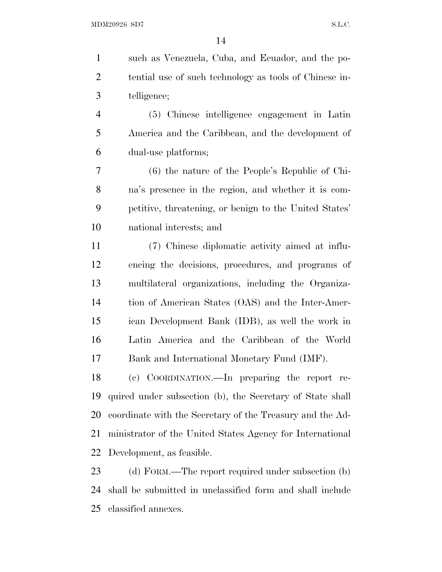such as Venezuela, Cuba, and Ecuador, and the po- tential use of such technology as tools of Chinese in-telligence;

 (5) Chinese intelligence engagement in Latin America and the Caribbean, and the development of dual-use platforms;

 (6) the nature of the People's Republic of Chi- na's presence in the region, and whether it is com- petitive, threatening, or benign to the United States' national interests; and

 (7) Chinese diplomatic activity aimed at influ- encing the decisions, procedures, and programs of multilateral organizations, including the Organiza- tion of American States (OAS) and the Inter-Amer- ican Development Bank (IDB), as well the work in Latin America and the Caribbean of the World Bank and International Monetary Fund (IMF).

 (c) COORDINATION.—In preparing the report re- quired under subsection (b), the Secretary of State shall coordinate with the Secretary of the Treasury and the Ad- ministrator of the United States Agency for International Development, as feasible.

23 (d) FORM.—The report required under subsection (b) shall be submitted in unclassified form and shall include classified annexes.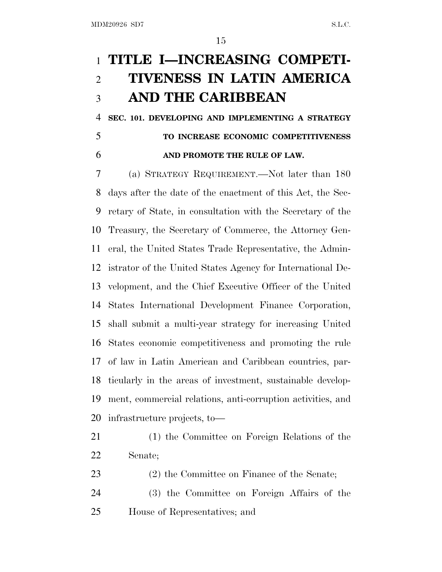## **TITLE I—INCREASING COMPETI- TIVENESS IN LATIN AMERICA AND THE CARIBBEAN**

 **SEC. 101. DEVELOPING AND IMPLEMENTING A STRATEGY TO INCREASE ECONOMIC COMPETITIVENESS AND PROMOTE THE RULE OF LAW.** 

 (a) STRATEGY REQUIREMENT.—Not later than 180 days after the date of the enactment of this Act, the Sec- retary of State, in consultation with the Secretary of the Treasury, the Secretary of Commerce, the Attorney Gen- eral, the United States Trade Representative, the Admin- istrator of the United States Agency for International De- velopment, and the Chief Executive Officer of the United States International Development Finance Corporation, shall submit a multi-year strategy for increasing United States economic competitiveness and promoting the rule of law in Latin American and Caribbean countries, par- ticularly in the areas of investment, sustainable develop- ment, commercial relations, anti-corruption activities, and infrastructure projects, to—

- (1) the Committee on Foreign Relations of the Senate;
- 23 (2) the Committee on Finance of the Senate;
- (3) the Committee on Foreign Affairs of the House of Representatives; and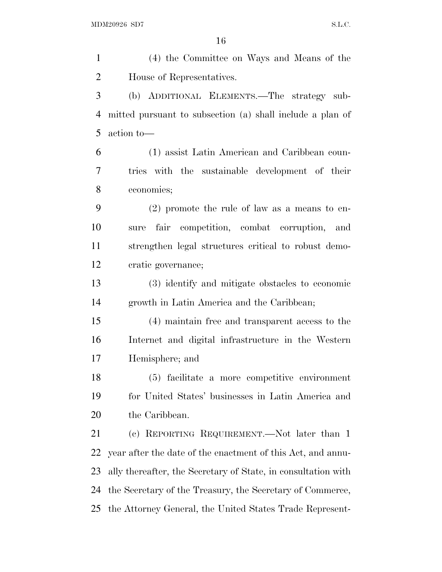(4) the Committee on Ways and Means of the House of Representatives. (b) ADDITIONAL ELEMENTS.—The strategy sub- mitted pursuant to subsection (a) shall include a plan of action to— (1) assist Latin American and Caribbean coun- tries with the sustainable development of their economies; (2) promote the rule of law as a means to en- sure fair competition, combat corruption, and strengthen legal structures critical to robust demo- cratic governance; (3) identify and mitigate obstacles to economic growth in Latin America and the Caribbean; (4) maintain free and transparent access to the Internet and digital infrastructure in the Western Hemisphere; and (5) facilitate a more competitive environment for United States' businesses in Latin America and 20 the Caribbean. (c) REPORTING REQUIREMENT.—Not later than 1 year after the date of the enactment of this Act, and annu- ally thereafter, the Secretary of State, in consultation with the Secretary of the Treasury, the Secretary of Commerce, the Attorney General, the United States Trade Represent-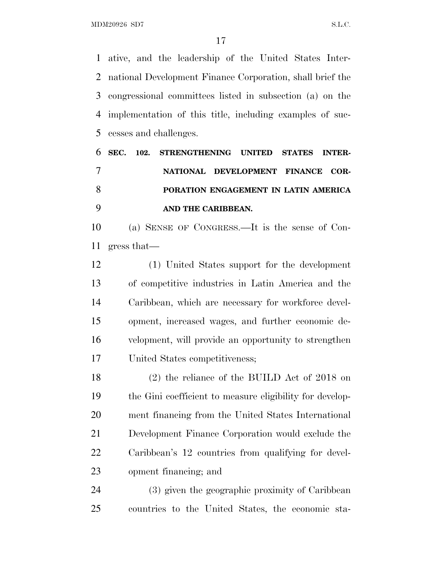MDM20926 SD7 S.L.C.

 ative, and the leadership of the United States Inter- national Development Finance Corporation, shall brief the congressional committees listed in subsection (a) on the implementation of this title, including examples of suc-cesses and challenges.

 **SEC. 102. STRENGTHENING UNITED STATES INTER- NATIONAL DEVELOPMENT FINANCE COR- PORATION ENGAGEMENT IN LATIN AMERICA AND THE CARIBBEAN.** 

 (a) SENSE OF CONGRESS.—It is the sense of Con-gress that—

 (1) United States support for the development of competitive industries in Latin America and the Caribbean, which are necessary for workforce devel- opment, increased wages, and further economic de- velopment, will provide an opportunity to strengthen United States competitiveness;

 (2) the reliance of the BUILD Act of 2018 on the Gini coefficient to measure eligibility for develop- ment financing from the United States International Development Finance Corporation would exclude the Caribbean's 12 countries from qualifying for devel-opment financing; and

 (3) given the geographic proximity of Caribbean countries to the United States, the economic sta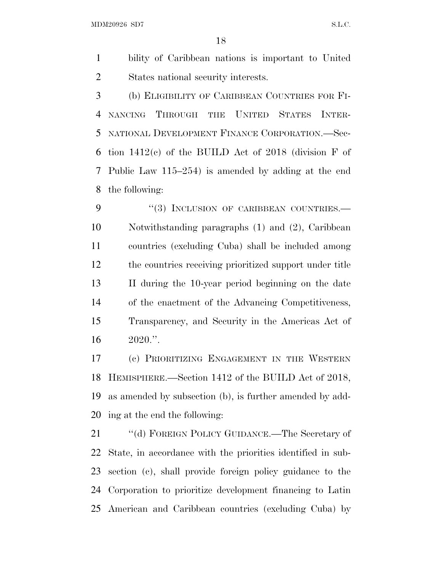MDM20926 SD7 S.L.C.

 bility of Caribbean nations is important to United States national security interests.

 (b) ELIGIBILITY OF CARIBBEAN COUNTRIES FOR FI- NANCING THROUGH THE UNITED STATES INTER- NATIONAL DEVELOPMENT FINANCE CORPORATION.—Sec-6 tion  $1412(c)$  of the BUILD Act of 2018 (division F of Public Law 115–254) is amended by adding at the end the following:

9 "(3) INCLUSION OF CARIBBEAN COUNTRIES. Notwithstanding paragraphs (1) and (2), Caribbean countries (excluding Cuba) shall be included among the countries receiving prioritized support under title II during the 10-year period beginning on the date of the enactment of the Advancing Competitiveness, Transparency, and Security in the Americas Act of 2020.''.

 (c) PRIORITIZING ENGAGEMENT IN THE WESTERN HEMISPHERE.—Section 1412 of the BUILD Act of 2018, as amended by subsection (b), is further amended by add-ing at the end the following:

21 "(d) FOREIGN POLICY GUIDANCE.—The Secretary of State, in accordance with the priorities identified in sub- section (c), shall provide foreign policy guidance to the Corporation to prioritize development financing to Latin American and Caribbean countries (excluding Cuba) by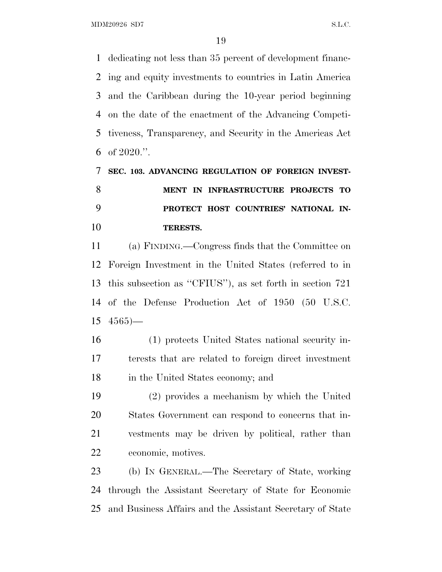dedicating not less than 35 percent of development financ- ing and equity investments to countries in Latin America and the Caribbean during the 10-year period beginning on the date of the enactment of the Advancing Competi- tiveness, Transparency, and Security in the Americas Act 6 of .".

## **SEC. 103. ADVANCING REGULATION OF FOREIGN INVEST- MENT IN INFRASTRUCTURE PROJECTS TO PROTECT HOST COUNTRIES' NATIONAL IN-TERESTS.**

 (a) FINDING.—Congress finds that the Committee on Foreign Investment in the United States (referred to in this subsection as ''CFIUS''), as set forth in section 721 of the Defense Production Act of 1950 (50 U.S.C.  $15 \t4565$ —

 (1) protects United States national security in- terests that are related to foreign direct investment in the United States economy; and

 (2) provides a mechanism by which the United States Government can respond to concerns that in- vestments may be driven by political, rather than economic, motives.

 (b) IN GENERAL.—The Secretary of State, working through the Assistant Secretary of State for Economic and Business Affairs and the Assistant Secretary of State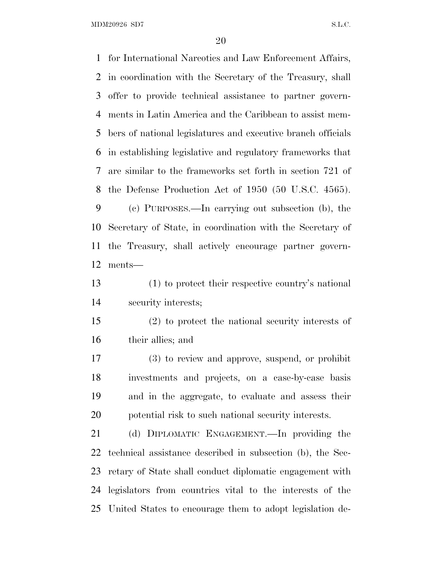MDM20926 SD7 S.L.C.

 for International Narcotics and Law Enforcement Affairs, in coordination with the Secretary of the Treasury, shall offer to provide technical assistance to partner govern- ments in Latin America and the Caribbean to assist mem- bers of national legislatures and executive branch officials in establishing legislative and regulatory frameworks that are similar to the frameworks set forth in section 721 of the Defense Production Act of 1950 (50 U.S.C. 4565).

 (c) PURPOSES.—In carrying out subsection (b), the Secretary of State, in coordination with the Secretary of the Treasury, shall actively encourage partner govern-ments—

 (1) to protect their respective country's national security interests;

 (2) to protect the national security interests of their allies; and

 (3) to review and approve, suspend, or prohibit investments and projects, on a case-by-case basis and in the aggregate, to evaluate and assess their potential risk to such national security interests.

 (d) DIPLOMATIC ENGAGEMENT.—In providing the technical assistance described in subsection (b), the Sec- retary of State shall conduct diplomatic engagement with legislators from countries vital to the interests of the United States to encourage them to adopt legislation de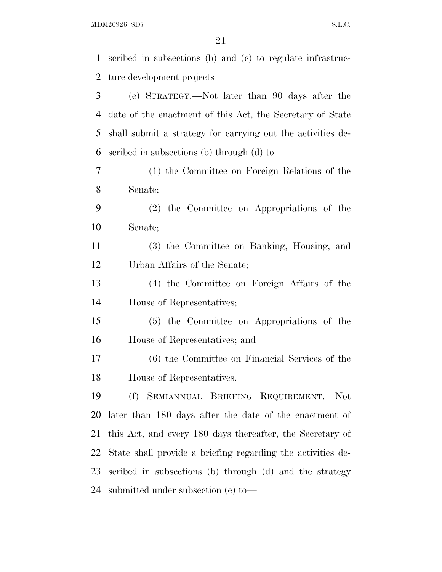$\rm MDM20926 \,\, SD7 \,\, S.L.C.$ 

| $\mathbf{1}$   | scribed in subsections (b) and (c) to regulate infrastruc-  |
|----------------|-------------------------------------------------------------|
| $\overline{2}$ | ture development projects                                   |
| 3              | (e) STRATEGY.—Not later than 90 days after the              |
| $\overline{4}$ | date of the enactment of this Act, the Secretary of State   |
| 5              | shall submit a strategy for carrying out the activities de- |
| 6              | scribed in subsections (b) through (d) to-                  |
| 7              | (1) the Committee on Foreign Relations of the               |
| 8              | Senate;                                                     |
| 9              | (2) the Committee on Appropriations of the                  |
| 10             | Senate;                                                     |
| 11             | (3) the Committee on Banking, Housing, and                  |
| 12             | Urban Affairs of the Senate;                                |
| 13             | (4) the Committee on Foreign Affairs of the                 |
| 14             | House of Representatives;                                   |
| 15             | (5) the Committee on Appropriations of the                  |
| 16             | House of Representatives; and                               |
| 17             | (6) the Committee on Financial Services of the              |
| 18             | House of Representatives.                                   |
| 19             | SEMIANNUAL BRIEFING REQUIREMENT.—Not<br>(f)                 |
| 20             | later than 180 days after the date of the enactment of      |
| 21             | this Act, and every 180 days thereafter, the Secretary of   |
| 22             | State shall provide a briefing regarding the activities de- |
| 23             | scribed in subsections (b) through (d) and the strategy     |
| 24             | submitted under subsection (e) to—                          |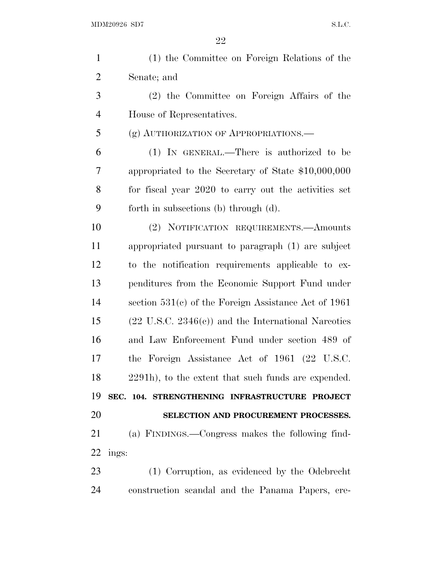| $\mathbf{1}$   | (1) the Committee on Foreign Relations of the                  |
|----------------|----------------------------------------------------------------|
| $\overline{2}$ | Senate; and                                                    |
| 3              | (2) the Committee on Foreign Affairs of the                    |
| $\overline{4}$ | House of Representatives.                                      |
| 5              | (g) AUTHORIZATION OF APPROPRIATIONS.                           |
| 6              | (1) IN GENERAL.—There is authorized to be                      |
| 7              | appropriated to the Secretary of State \$10,000,000            |
| 8              | for fiscal year 2020 to carry out the activities set           |
| 9              | forth in subsections (b) through (d).                          |
| 10             | (2) NOTIFICATION REQUIREMENTS.—Amounts                         |
| 11             | appropriated pursuant to paragraph (1) are subject             |
| 12             | to the notification requirements applicable to ex-             |
| 13             | penditures from the Economic Support Fund under                |
| 14             | section $531(c)$ of the Foreign Assistance Act of 1961         |
| 15             | $(22 \text{ U.S.C. } 2346(c))$ and the International Narcotics |
| 16             | and Law Enforcement Fund under section 489 of                  |
| 17             | the Foreign Assistance Act of 1961 (22 U.S.C.                  |
| 18             | 2291h), to the extent that such funds are expended.            |
| 19             | SEC. 104. STRENGTHENING INFRASTRUCTURE PROJECT                 |
| 20             | SELECTION AND PROCUREMENT PROCESSES.                           |
| 21             | (a) FINDINGS.—Congress makes the following find-               |
| 22             | ings:                                                          |
| 23             | (1) Corruption, as evidenced by the Odebrecht                  |
| 24             | construction scandal and the Panama Papers, cre-               |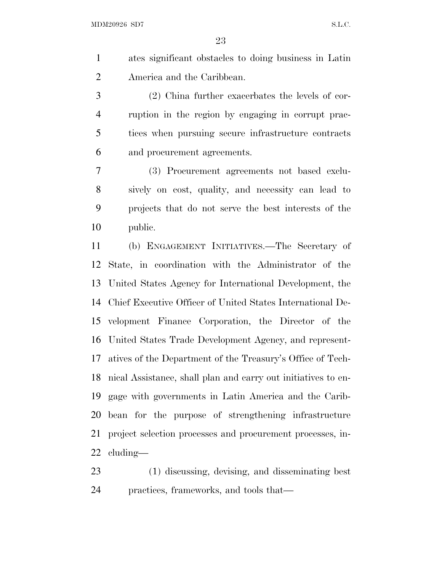ates significant obstacles to doing business in Latin America and the Caribbean.

 (2) China further exacerbates the levels of cor- ruption in the region by engaging in corrupt prac- tices when pursuing secure infrastructure contracts and procurement agreements.

 (3) Procurement agreements not based exclu- sively on cost, quality, and necessity can lead to projects that do not serve the best interests of the public.

 (b) ENGAGEMENT INITIATIVES.—The Secretary of State, in coordination with the Administrator of the United States Agency for International Development, the Chief Executive Officer of United States International De- velopment Finance Corporation, the Director of the United States Trade Development Agency, and represent- atives of the Department of the Treasury's Office of Tech- nical Assistance, shall plan and carry out initiatives to en- gage with governments in Latin America and the Carib- bean for the purpose of strengthening infrastructure project selection processes and procurement processes, in-cluding—

 (1) discussing, devising, and disseminating best practices, frameworks, and tools that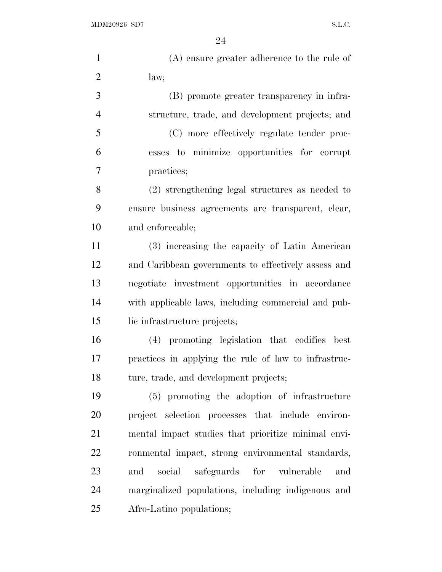$\rm MDM20926 \,\, SD7 \,\, S.L.C.$ 

| $\mathbf{1}$   | $(A)$ ensure greater adherence to the rule of        |
|----------------|------------------------------------------------------|
| $\overline{2}$ | law;                                                 |
| 3              | (B) promote greater transparency in infra-           |
| $\overline{4}$ | structure, trade, and development projects; and      |
| 5              | (C) more effectively regulate tender proc-           |
| 6              | esses to minimize opportunities for corrupt          |
| 7              | practices;                                           |
| 8              | (2) strengthening legal structures as needed to      |
| 9              | ensure business agreements are transparent, clear,   |
| 10             | and enforceable;                                     |
| 11             | (3) increasing the capacity of Latin American        |
| 12             | and Caribbean governments to effectively assess and  |
| 13             | negotiate investment opportunities in accordance     |
| 14             | with applicable laws, including commercial and pub-  |
| 15             | lic infrastructure projects;                         |
| 16             | (4) promoting legislation that codifies best         |
| 17             | practices in applying the rule of law to infrastruc- |
| 18             | ture, trade, and development projects;               |
| 19             | (5) promoting the adoption of infrastructure         |
| 20             | project selection processes that include environ-    |
| 21             | mental impact studies that prioritize minimal envi-  |
| 22             | ronmental impact, strong environmental standards,    |
| 23             | social<br>safeguards<br>for vulnerable<br>and<br>and |
| 24             | marginalized populations, including indigenous and   |
| 25             | Afro-Latino populations;                             |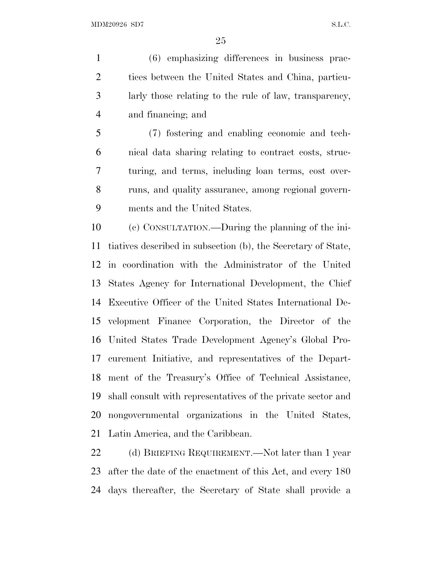(6) emphasizing differences in business prac- tices between the United States and China, particu- larly those relating to the rule of law, transparency, and financing; and

 (7) fostering and enabling economic and tech- nical data sharing relating to contract costs, struc- turing, and terms, including loan terms, cost over- runs, and quality assurance, among regional govern-ments and the United States.

 (c) CONSULTATION.—During the planning of the ini- tiatives described in subsection (b), the Secretary of State, in coordination with the Administrator of the United States Agency for International Development, the Chief Executive Officer of the United States International De- velopment Finance Corporation, the Director of the United States Trade Development Agency's Global Pro- curement Initiative, and representatives of the Depart- ment of the Treasury's Office of Technical Assistance, shall consult with representatives of the private sector and nongovernmental organizations in the United States, Latin America, and the Caribbean.

22 (d) BRIEFING REQUIREMENT.—Not later than 1 year after the date of the enactment of this Act, and every 180 days thereafter, the Secretary of State shall provide a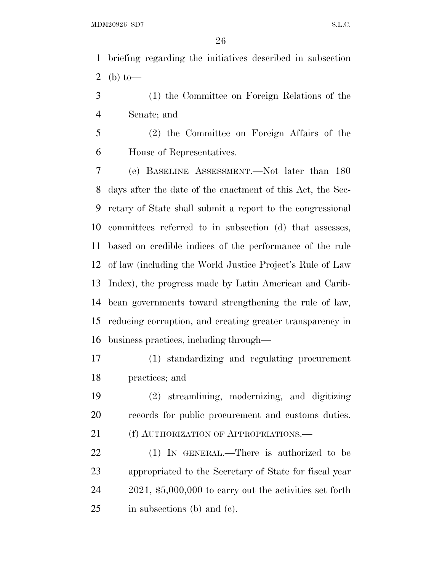briefing regarding the initiatives described in subsection 2 (b) to-

 (1) the Committee on Foreign Relations of the Senate; and

 (2) the Committee on Foreign Affairs of the House of Representatives.

 (e) BASELINE ASSESSMENT.—Not later than 180 days after the date of the enactment of this Act, the Sec- retary of State shall submit a report to the congressional committees referred to in subsection (d) that assesses, based on credible indices of the performance of the rule of law (including the World Justice Project's Rule of Law Index), the progress made by Latin American and Carib- bean governments toward strengthening the rule of law, reducing corruption, and creating greater transparency in business practices, including through—

 (1) standardizing and regulating procurement practices; and

 (2) streamlining, modernizing, and digitizing records for public procurement and customs duties. 21 (f) AUTHORIZATION OF APPROPRIATIONS.—

 (1) IN GENERAL.—There is authorized to be appropriated to the Secretary of State for fiscal year 2021, \$5,000,000 to carry out the activities set forth in subsections (b) and (c).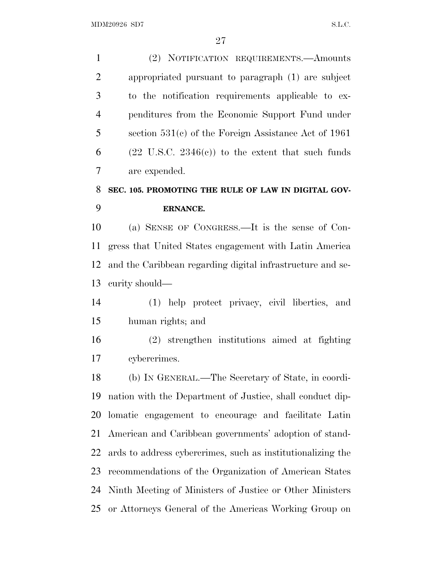(2) NOTIFICATION REQUIREMENTS.—Amounts appropriated pursuant to paragraph (1) are subject to the notification requirements applicable to ex- penditures from the Economic Support Fund under section 531(c) of the Foreign Assistance Act of 1961 6 (22 U.S.C. 2346(c)) to the extent that such funds are expended. **SEC. 105. PROMOTING THE RULE OF LAW IN DIGITAL GOV-**

# **ERNANCE.**

 (a) SENSE OF CONGRESS.—It is the sense of Con- gress that United States engagement with Latin America and the Caribbean regarding digital infrastructure and se-curity should—

 (1) help protect privacy, civil liberties, and human rights; and

 (2) strengthen institutions aimed at fighting cybercrimes.

 (b) IN GENERAL.—The Secretary of State, in coordi- nation with the Department of Justice, shall conduct dip- lomatic engagement to encourage and facilitate Latin American and Caribbean governments' adoption of stand- ards to address cybercrimes, such as institutionalizing the recommendations of the Organization of American States Ninth Meeting of Ministers of Justice or Other Ministers or Attorneys General of the Americas Working Group on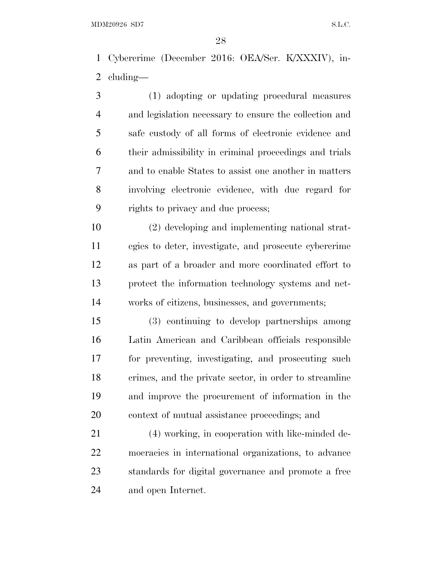Cybercrime (December 2016: OEA/Ser. K/XXXIV), in-cluding—

 (1) adopting or updating procedural measures and legislation necessary to ensure the collection and safe custody of all forms of electronic evidence and their admissibility in criminal proceedings and trials and to enable States to assist one another in matters involving electronic evidence, with due regard for rights to privacy and due process;

 (2) developing and implementing national strat- egies to deter, investigate, and prosecute cybercrime as part of a broader and more coordinated effort to protect the information technology systems and net-works of citizens, businesses, and governments;

 (3) continuing to develop partnerships among Latin American and Caribbean officials responsible for preventing, investigating, and prosecuting such crimes, and the private sector, in order to streamline and improve the procurement of information in the context of mutual assistance proceedings; and

 (4) working, in cooperation with like-minded de- mocracies in international organizations, to advance standards for digital governance and promote a free and open Internet.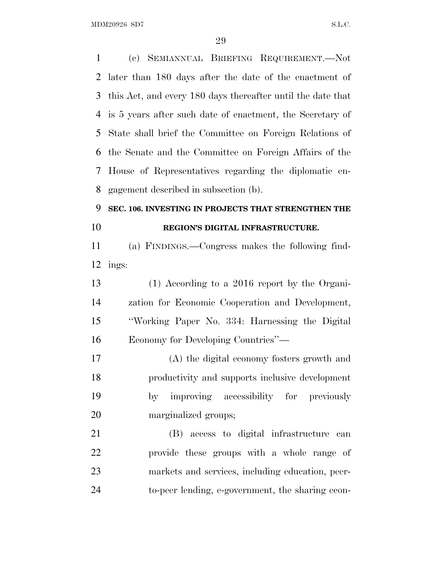(c) SEMIANNUAL BRIEFING REQUIREMENT.—Not later than 180 days after the date of the enactment of this Act, and every 180 days thereafter until the date that is 5 years after such date of enactment, the Secretary of State shall brief the Committee on Foreign Relations of the Senate and the Committee on Foreign Affairs of the House of Representatives regarding the diplomatic en- gagement described in subsection (b). **SEC. 106. INVESTING IN PROJECTS THAT STRENGTHEN THE REGION'S DIGITAL INFRASTRUCTURE.**  (a) FINDINGS.—Congress makes the following find- ings: (1) According to a 2016 report by the Organi- zation for Economic Cooperation and Development, ''Working Paper No. 334: Harnessing the Digital Economy for Developing Countries''— (A) the digital economy fosters growth and productivity and supports inclusive development by improving accessibility for previously marginalized groups; (B) access to digital infrastructure can provide these groups with a whole range of markets and services, including education, peer-to-peer lending, e-government, the sharing econ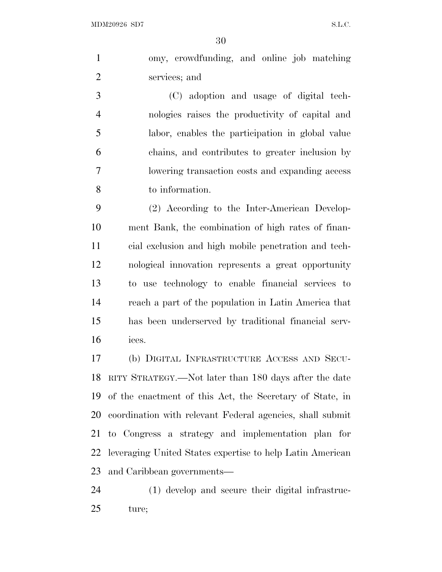MDM20926 SD7 S.L.C.

 omy, crowdfunding, and online job matching services; and

 (C) adoption and usage of digital tech- nologies raises the productivity of capital and labor, enables the participation in global value chains, and contributes to greater inclusion by lowering transaction costs and expanding access to information.

 (2) According to the Inter-American Develop- ment Bank, the combination of high rates of finan- cial exclusion and high mobile penetration and tech- nological innovation represents a great opportunity to use technology to enable financial services to reach a part of the population in Latin America that has been underserved by traditional financial serv-ices.

 (b) DIGITAL INFRASTRUCTURE ACCESS AND SECU- RITY STRATEGY.—Not later than 180 days after the date of the enactment of this Act, the Secretary of State, in coordination with relevant Federal agencies, shall submit to Congress a strategy and implementation plan for leveraging United States expertise to help Latin American and Caribbean governments—

 (1) develop and secure their digital infrastruc-ture;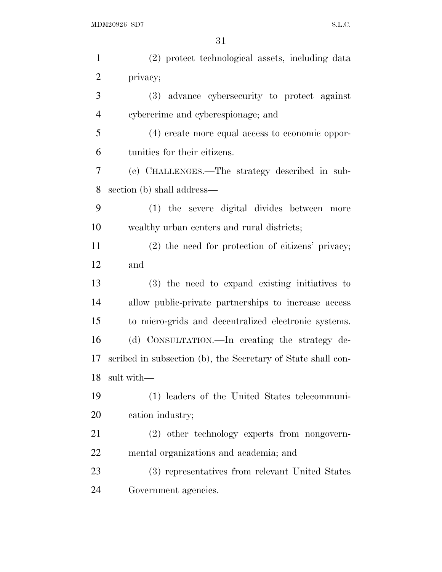| $\mathbf{1}$   | (2) protect technological assets, including data             |
|----------------|--------------------------------------------------------------|
| $\overline{2}$ | privacy;                                                     |
| 3              | (3) advance cybersecurity to protect against                 |
| $\overline{4}$ | cybercrime and cyberespionage; and                           |
| 5              | (4) create more equal access to economic oppor-              |
| 6              | tunities for their citizens.                                 |
| 7              | (c) CHALLENGES.—The strategy described in sub-               |
| 8              | section (b) shall address—                                   |
| 9              | (1) the severe digital divides between more                  |
| 10             | wealthy urban centers and rural districts;                   |
| 11             | $(2)$ the need for protection of citizens' privacy;          |
| 12             | and                                                          |
|                |                                                              |
| 13             | (3) the need to expand existing initiatives to               |
| 14             | allow public-private partnerships to increase access         |
| 15             | to micro-grids and decentralized electronic systems.         |
| 16             | (d) CONSULTATION. - In creating the strategy de-             |
| 17             | scribed in subsection (b), the Secretary of State shall con- |
| 18             | sult with-                                                   |
| 19             | (1) leaders of the United States telecommuni-                |
| 20             | cation industry;                                             |
| 21             | (2) other technology experts from nongovern-                 |
| 22             | mental organizations and academia; and                       |
| 23             | (3) representatives from relevant United States              |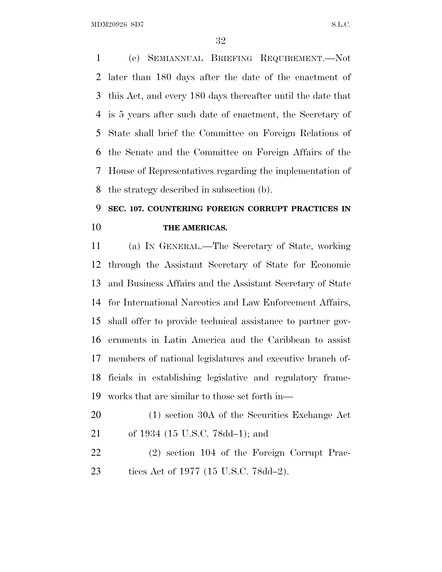MDM20926 SD7 S.L.C.

 (e) SEMIANNUAL BRIEFING REQUIREMENT.—Not later than 180 days after the date of the enactment of this Act, and every 180 days thereafter until the date that is 5 years after such date of enactment, the Secretary of State shall brief the Committee on Foreign Relations of the Senate and the Committee on Foreign Affairs of the House of Representatives regarding the implementation of the strategy described in subsection (b).

### **SEC. 107. COUNTERING FOREIGN CORRUPT PRACTICES IN THE AMERICAS.**

 (a) IN GENERAL.—The Secretary of State, working through the Assistant Secretary of State for Economic and Business Affairs and the Assistant Secretary of State for International Narcotics and Law Enforcement Affairs, shall offer to provide technical assistance to partner gov- ernments in Latin America and the Caribbean to assist members of national legislatures and executive branch of- ficials in establishing legislative and regulatory frame-works that are similar to those set forth in—

- (1) section 30A of the Securities Exchange Act of 1934 (15 U.S.C. 78dd–1); and
- (2) section 104 of the Foreign Corrupt Prac-tices Act of 1977 (15 U.S.C. 78dd–2).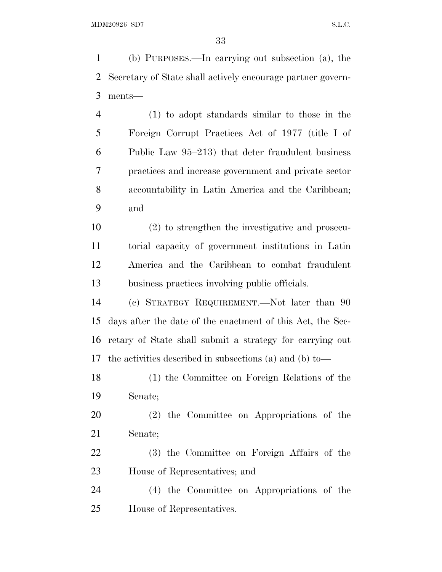(b) PURPOSES.—In carrying out subsection (a), the Secretary of State shall actively encourage partner govern-ments—

 (1) to adopt standards similar to those in the Foreign Corrupt Practices Act of 1977 (title I of Public Law 95–213) that deter fraudulent business practices and increase government and private sector accountability in Latin America and the Caribbean; and

 (2) to strengthen the investigative and prosecu- torial capacity of government institutions in Latin America and the Caribbean to combat fraudulent business practices involving public officials.

 (c) STRATEGY REQUIREMENT.—Not later than 90 days after the date of the enactment of this Act, the Sec- retary of State shall submit a strategy for carrying out the activities described in subsections (a) and (b) to—

 (1) the Committee on Foreign Relations of the Senate;

 (2) the Committee on Appropriations of the Senate;

 (3) the Committee on Foreign Affairs of the House of Representatives; and

 (4) the Committee on Appropriations of the House of Representatives.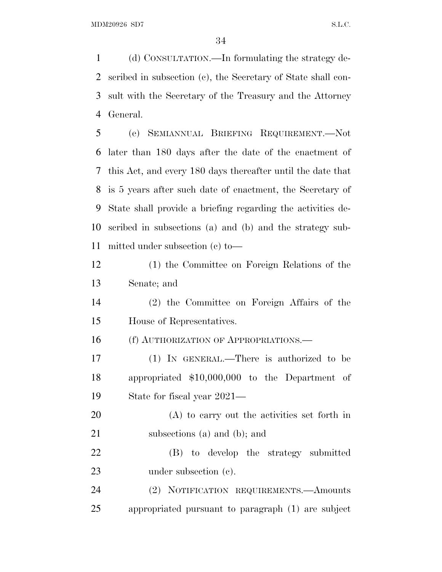(d) CONSULTATION.—In formulating the strategy de- scribed in subsection (c), the Secretary of State shall con- sult with the Secretary of the Treasury and the Attorney General.

 (e) SEMIANNUAL BRIEFING REQUIREMENT.—Not later than 180 days after the date of the enactment of this Act, and every 180 days thereafter until the date that is 5 years after such date of enactment, the Secretary of State shall provide a briefing regarding the activities de- scribed in subsections (a) and (b) and the strategy sub-mitted under subsection (c) to—

 (1) the Committee on Foreign Relations of the Senate; and

 (2) the Committee on Foreign Affairs of the House of Representatives.

16 (f) AUTHORIZATION OF APPROPRIATIONS.—

 (1) IN GENERAL.—There is authorized to be appropriated \$10,000,000 to the Department of State for fiscal year 2021—

 (A) to carry out the activities set forth in subsections (a) and (b); and

 (B) to develop the strategy submitted 23 under subsection (c).

 (2) NOTIFICATION REQUIREMENTS.—Amounts appropriated pursuant to paragraph (1) are subject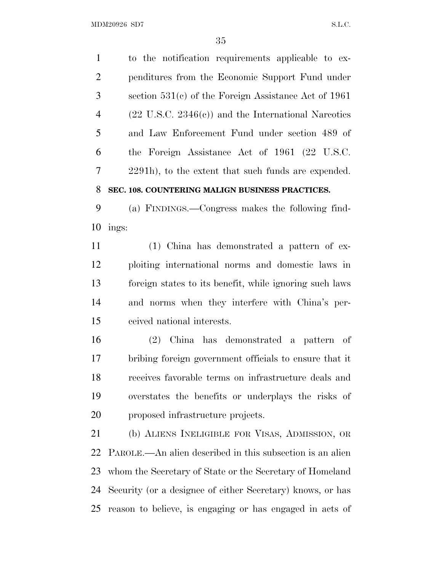MDM20926 SD7 S.L.C.

 to the notification requirements applicable to ex- penditures from the Economic Support Fund under section 531(c) of the Foreign Assistance Act of 1961 (22 U.S.C. 2346(c)) and the International Narcotics and Law Enforcement Fund under section 489 of the Foreign Assistance Act of 1961 (22 U.S.C. 2291h), to the extent that such funds are expended. **SEC. 108. COUNTERING MALIGN BUSINESS PRACTICES.** 

 (a) FINDINGS.—Congress makes the following find-ings:

 (1) China has demonstrated a pattern of ex- ploiting international norms and domestic laws in foreign states to its benefit, while ignoring such laws and norms when they interfere with China's per-ceived national interests.

 (2) China has demonstrated a pattern of bribing foreign government officials to ensure that it receives favorable terms on infrastructure deals and overstates the benefits or underplays the risks of proposed infrastructure projects.

 (b) ALIENS INELIGIBLE FOR VISAS, ADMISSION, OR PAROLE.—An alien described in this subsection is an alien whom the Secretary of State or the Secretary of Homeland Security (or a designee of either Secretary) knows, or has reason to believe, is engaging or has engaged in acts of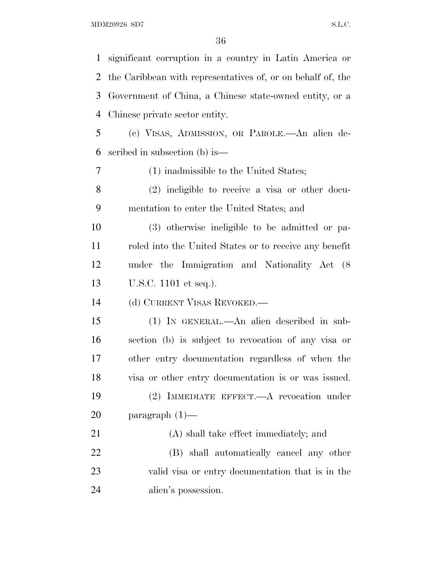$\rm MDM20926 \,\, SD7 \,\, \rm S.L.C.$ 

| 1         | significant corruption in a country in Latin America or     |
|-----------|-------------------------------------------------------------|
| 2         | the Caribbean with representatives of, or on behalf of, the |
| 3         | Government of China, a Chinese state-owned entity, or a     |
| 4         | Chinese private sector entity.                              |
| 5         | (c) VISAS, ADMISSION, OR PAROLE.—An alien de-               |
| 6         | scribed in subsection (b) is—                               |
| 7         | (1) inadmissible to the United States;                      |
| 8         | $(2)$ ineligible to receive a visa or other docu-           |
| 9         | mentation to enter the United States; and                   |
| 10        | (3) otherwise ineligible to be admitted or pa-              |
| 11        | roled into the United States or to receive any benefit      |
| 12        | under the Immigration and Nationality Act (8)               |
|           |                                                             |
| 13        | U.S.C. 1101 et seq.).                                       |
| 14        | (d) CURRENT VISAS REVOKED.—                                 |
| 15        | (1) IN GENERAL.—An alien described in sub-                  |
| 16        | section (b) is subject to revocation of any visa or         |
| 17        | other entry documentation regardless of when the            |
| 18        | visa or other entry documentation is or was issued.         |
| 19        | (2) IMMEDIATE EFFECT.—A revocation under                    |
| <b>20</b> | paragraph $(1)$ —                                           |
| 21        | (A) shall take effect immediately; and                      |
| 22        | (B) shall automatically cancel any other                    |
| 23        | valid visa or entry documentation that is in the            |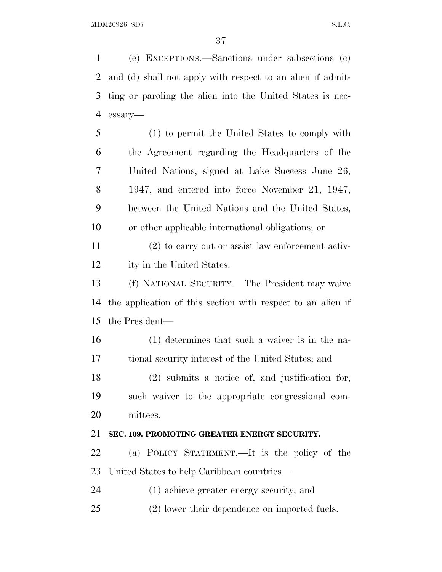(e) EXCEPTIONS.—Sanctions under subsections (c) and (d) shall not apply with respect to an alien if admit- ting or paroling the alien into the United States is nec-essary—

 (1) to permit the United States to comply with the Agreement regarding the Headquarters of the United Nations, signed at Lake Success June 26, 1947, and entered into force November 21, 1947, between the United Nations and the United States, or other applicable international obligations; or

 (2) to carry out or assist law enforcement activ-ity in the United States.

 (f) NATIONAL SECURITY.—The President may waive the application of this section with respect to an alien if the President—

 (1) determines that such a waiver is in the na-tional security interest of the United States; and

 (2) submits a notice of, and justification for, such waiver to the appropriate congressional com-mittees.

#### **SEC. 109. PROMOTING GREATER ENERGY SECURITY.**

 (a) POLICY STATEMENT.—It is the policy of the United States to help Caribbean countries—

(1) achieve greater energy security; and

(2) lower their dependence on imported fuels.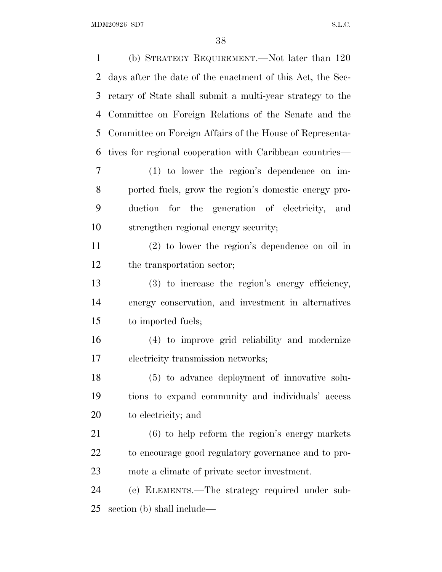MDM20926 SD7 S.L.C.

 (b) STRATEGY REQUIREMENT.—Not later than 120 days after the date of the enactment of this Act, the Sec- retary of State shall submit a multi-year strategy to the Committee on Foreign Relations of the Senate and the Committee on Foreign Affairs of the House of Representa- tives for regional cooperation with Caribbean countries— (1) to lower the region's dependence on im- ported fuels, grow the region's domestic energy pro- duction for the generation of electricity, and strengthen regional energy security; (2) to lower the region's dependence on oil in the transportation sector; (3) to increase the region's energy efficiency, energy conservation, and investment in alternatives to imported fuels; (4) to improve grid reliability and modernize electricity transmission networks; (5) to advance deployment of innovative solu- tions to expand community and individuals' access to electricity; and (6) to help reform the region's energy markets to encourage good regulatory governance and to pro- mote a climate of private sector investment. (c) ELEMENTS.—The strategy required under sub-section (b) shall include—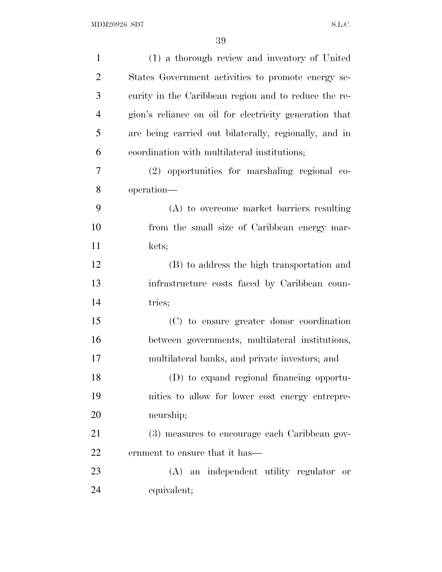| $\mathbf{1}$   | (1) a thorough review and inventory of United          |
|----------------|--------------------------------------------------------|
| $\overline{2}$ | States Government activities to promote energy se-     |
| 3              | curity in the Caribbean region and to reduce the re-   |
| $\overline{4}$ | gion's reliance on oil for electricity generation that |
| 5              | are being carried out bilaterally, regionally, and in  |
| 6              | coordination with multilateral institutions;           |
| 7              | (2) opportunities for marshaling regional co-          |
| 8              | operation—                                             |
| 9              | (A) to overcome market barriers resulting              |
| 10             | from the small size of Caribbean energy mar-           |
| 11             | kets;                                                  |
| 12             | (B) to address the high transportation and             |
| 13             | infrastructure costs faced by Caribbean coun-          |
| 14             | tries;                                                 |
| 15             | (C) to ensure greater donor coordination               |
| 16             | between governments, multilateral institutions,        |
| 17             | multilateral banks, and private investors; and         |
| 18             | (D) to expand regional financing opportu-              |
| 19             | nities to allow for lower cost energy entrepre-        |
| 20             | neurship;                                              |
| 21             | (3) measures to encourage each Caribbean gov-          |
| 22             | ernment to ensure that it has—                         |
| 23             | (A) an independent utility regulator or                |
| 24             | equivalent;                                            |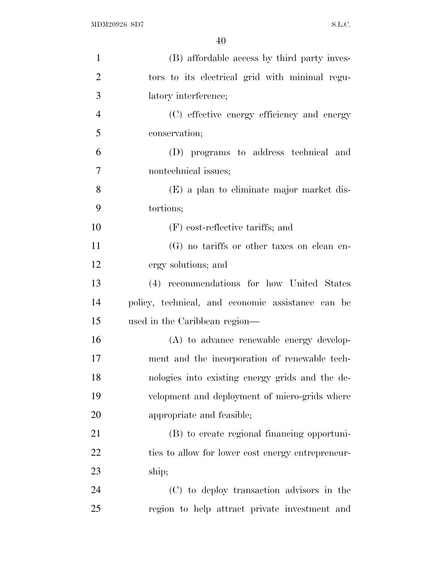| $\mathbf{1}$   | (B) affordable access by third party inves-       |
|----------------|---------------------------------------------------|
| $\overline{2}$ | tors to its electrical grid with minimal regu-    |
| 3              | latory interference;                              |
| $\overline{4}$ | (C) effective energy efficiency and energy        |
| 5              | conservation;                                     |
| 6              | (D) programs to address technical and             |
| $\overline{7}$ | nontechnical issues;                              |
| 8              | (E) a plan to eliminate major market dis-         |
| 9              | tortions;                                         |
| 10             | $(F)$ cost-reflective tariffs; and                |
| 11             | (G) no tariffs or other taxes on clean en-        |
| 12             | ergy solutions; and                               |
| 13             | (4) recommendations for how United States         |
| 14             | policy, technical, and economic assistance can be |
| 15             | used in the Caribbean region—                     |
| 16             | (A) to advance renewable energy develop-          |
| 17             | ment and the incorporation of renewable tech-     |
| 18             | nologies into existing energy grids and the de-   |
| 19             | velopment and deployment of micro-grids where     |
| 20             | appropriate and feasible;                         |
| 21             | (B) to create regional financing opportuni-       |
| 22             | ties to allow for lower cost energy entrepreneur- |
| 23             | ship;                                             |
| 24             | (C) to deploy transaction advisors in the         |
| 25             | region to help attract private investment and     |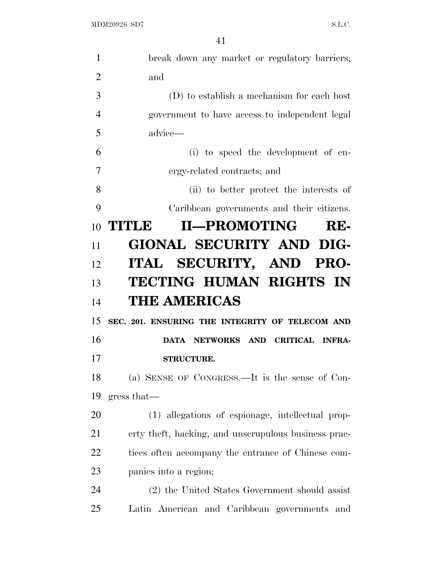| $\mathbf{1}$   | break down any market or regulatory barriers;        |
|----------------|------------------------------------------------------|
| $\overline{2}$ | and                                                  |
| 3              | $(D)$ to establish a mechanism for each host         |
| $\overline{4}$ | government to have access to independent legal       |
| 5              | advice—                                              |
| 6              | (i) to speed the development of en-                  |
| 7              | ergy-related contracts; and                          |
| 8              | (ii) to better protect the interests of              |
| 9              | Caribbean governments and their citizens.            |
| 10             | <b>II-PROMOTING</b><br><b>TITLE</b><br>RE-           |
| 11             | GIONAL SECURITY AND DIG-                             |
| 12             | ITAL SECURITY, AND PRO-                              |
| 13             | TECTING HUMAN RIGHTS IN                              |
| 14             | <b>THE AMERICAS</b>                                  |
| 15             | SEC. 201. ENSURING THE INTEGRITY OF TELECOM AND      |
| 16             | DATA NETWORKS AND CRITICAL INFRA-                    |
| 17             | <b>STRUCTURE.</b>                                    |
| 18             | (a) SENSE OF CONGRESS.—It is the sense of Con-       |
| 19             | gress that—                                          |
| 20             | (1) allegations of espionage, intellectual prop-     |
| 21             | erty theft, hacking, and unscrupulous business prac- |
| <u>22</u>      | tices often accompany the entrance of Chinese com-   |
| 23             | panies into a region;                                |
| 24             | (2) the United States Government should assist       |
|                |                                                      |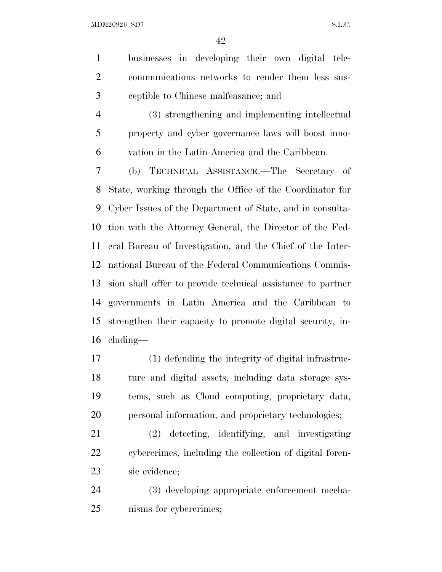MDM20926 SD7 S.L.C.

 businesses in developing their own digital tele- communications networks to render them less sus-ceptible to Chinese malfeasance; and

 (3) strengthening and implementing intellectual property and cyber governance laws will boost inno-vation in the Latin America and the Caribbean.

 (b) TECHNICAL ASSISTANCE.—The Secretary of State, working through the Office of the Coordinator for Cyber Issues of the Department of State, and in consulta- tion with the Attorney General, the Director of the Fed- eral Bureau of Investigation, and the Chief of the Inter- national Bureau of the Federal Communications Commis- sion shall offer to provide technical assistance to partner governments in Latin America and the Caribbean to strengthen their capacity to promote digital security, in-cluding—

 (1) defending the integrity of digital infrastruc- ture and digital assets, including data storage sys- tems, such as Cloud computing, proprietary data, personal information, and proprietary technologies;

 (2) detecting, identifying, and investigating cybercrimes, including the collection of digital foren-sic evidence;

 (3) developing appropriate enforcement mecha-nisms for cybercrimes;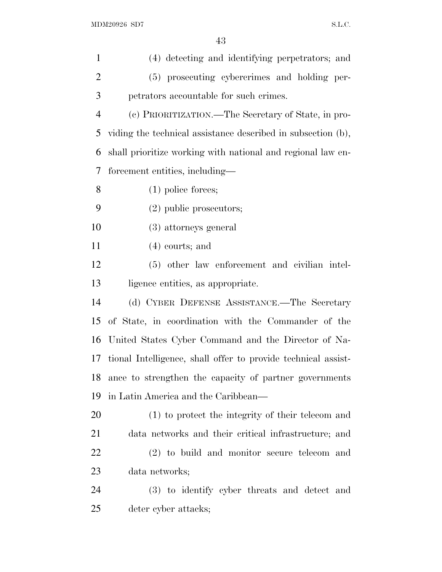| $\mathbf{1}$   | (4) detecting and identifying perpetrators; and               |
|----------------|---------------------------------------------------------------|
| $\overline{2}$ | (5) prosecuting cybercrimes and holding per-                  |
| 3              | petrators accountable for such crimes.                        |
| $\overline{4}$ | (c) PRIORITIZATION.—The Secretary of State, in pro-           |
| 5              | viding the technical assistance described in subsection (b),  |
| 6              | shall prioritize working with national and regional law en-   |
| 7              | forcement entities, including—                                |
| 8              | $(1)$ police forces;                                          |
| 9              | $(2)$ public prosecutors;                                     |
| 10             | (3) attorneys general                                         |
| 11             | $(4)$ courts; and                                             |
| 12             | (5) other law enforcement and civilian intel-                 |
| 13             | ligence entities, as appropriate.                             |
| 14             | (d) CYBER DEFENSE ASSISTANCE.—The Secretary                   |
| 15             | of State, in coordination with the Commander of the           |
| 16             | United States Cyber Command and the Director of Na-           |
| 17             | tional Intelligence, shall offer to provide technical assist- |
| 18             | ance to strengthen the capacity of partner governments        |
| 19             | in Latin America and the Caribbean—                           |
| 20             | (1) to protect the integrity of their telecom and             |
| 21             | data networks and their critical infrastructure; and          |
| 22             | (2) to build and monitor secure telecom and                   |
| 23             | data networks;                                                |
| 24             | (3) to identify cyber threats and detect and                  |
| 25             | deter cyber attacks;                                          |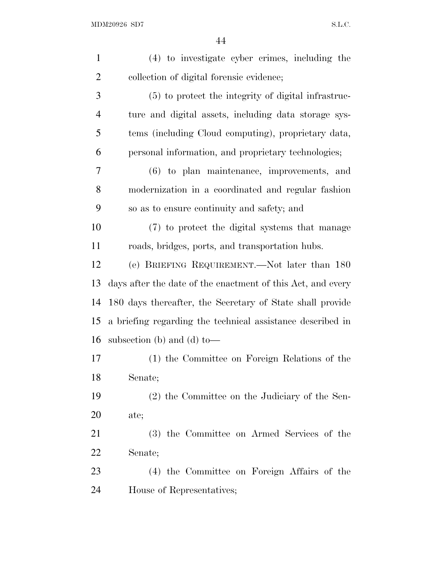| $\mathbf{1}$   | (4) to investigate cyber crimes, including the              |
|----------------|-------------------------------------------------------------|
| $\overline{2}$ | collection of digital forensic evidence;                    |
| $\mathfrak{Z}$ | (5) to protect the integrity of digital infrastruc-         |
| $\overline{4}$ | ture and digital assets, including data storage sys-        |
| 5              | tems (including Cloud computing), proprietary data,         |
| 6              | personal information, and proprietary technologies;         |
| 7              | $(6)$ to plan maintenance, improvements, and                |
| 8              | modernization in a coordinated and regular fashion          |
| 9              | so as to ensure continuity and safety; and                  |
| 10             | (7) to protect the digital systems that manage              |
| 11             | roads, bridges, ports, and transportation hubs.             |
| 12             | (e) BRIEFING REQUIREMENT.—Not later than 180                |
| 13             | days after the date of the enactment of this Act, and every |
| 14             | 180 days thereafter, the Secretary of State shall provide   |
| 15             | a briefing regarding the technical assistance described in  |
| 16             | subsection (b) and (d) to-                                  |
| 17             | (1) the Committee on Foreign Relations of the               |
| 18             | Senate;                                                     |
| 19             | (2) the Committee on the Judiciary of the Sen-              |
| 20             | ate;                                                        |
| 21             | (3) the Committee on Armed Services of the                  |
| <u>22</u>      | Senate;                                                     |
| 23             | (4) the Committee on Foreign Affairs of the                 |
| 24             | House of Representatives;                                   |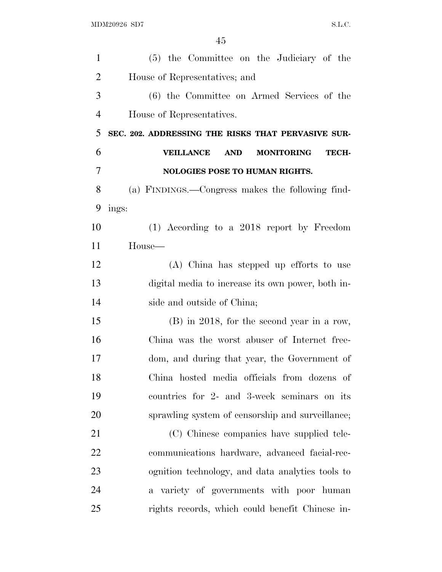| $\mathbf{1}$   | (5) the Committee on the Judiciary of the                    |
|----------------|--------------------------------------------------------------|
| $\overline{2}$ | House of Representatives; and                                |
| 3              | (6) the Committee on Armed Services of the                   |
| $\overline{4}$ | House of Representatives.                                    |
| 5              | SEC. 202. ADDRESSING THE RISKS THAT PERVASIVE SUR-           |
| 6              | <b>VEILLANCE</b><br><b>AND</b><br><b>MONITORING</b><br>TECH- |
| 7              | <b>NOLOGIES POSE TO HUMAN RIGHTS.</b>                        |
| 8              | (a) FINDINGS.—Congress makes the following find-             |
| 9              | ings:                                                        |
| 10             | $(1)$ According to a 2018 report by Freedom                  |
| 11             | House—                                                       |
| 12             | (A) China has stepped up efforts to use                      |
| 13             | digital media to increase its own power, both in-            |
| 14             | side and outside of China;                                   |
| 15             | $(B)$ in 2018, for the second year in a row,                 |
| 16             | China was the worst abuser of Internet free-                 |
| 17             | dom, and during that year, the Government of                 |
| 18             | China hosted media officials from dozens of                  |
| 19             | countries for 2- and 3-week seminars on its                  |
| 20             | sprawling system of censorship and surveillance;             |
| 21             | (C) Chinese companies have supplied tele-                    |
| 22             | communications hardware, advanced facial-rec-                |
| 23             | ognition technology, and data analytics tools to             |
| 24             | a variety of governments with poor human                     |
| 25             | rights records, which could benefit Chinese in-              |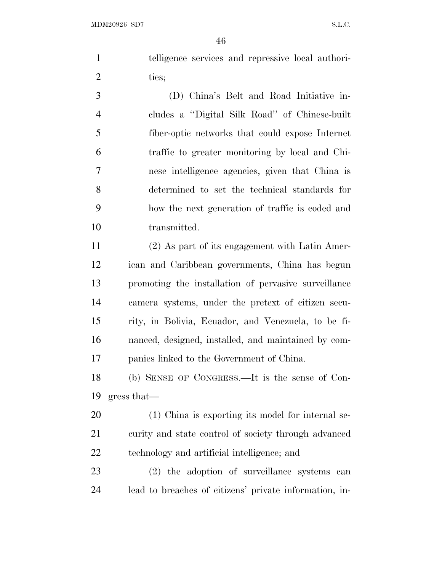telligence services and repressive local authori-2 ties;

 (D) China's Belt and Road Initiative in- cludes a ''Digital Silk Road'' of Chinese-built fiber-optic networks that could expose Internet traffic to greater monitoring by local and Chi- nese intelligence agencies, given that China is determined to set the technical standards for how the next generation of traffic is coded and transmitted.

 (2) As part of its engagement with Latin Amer- ican and Caribbean governments, China has begun promoting the installation of pervasive surveillance camera systems, under the pretext of citizen secu- rity, in Bolivia, Ecuador, and Venezuela, to be fi- nanced, designed, installed, and maintained by com-panies linked to the Government of China.

 (b) SENSE OF CONGRESS.—It is the sense of Con-gress that—

 (1) China is exporting its model for internal se- curity and state control of society through advanced technology and artificial intelligence; and

 (2) the adoption of surveillance systems can lead to breaches of citizens' private information, in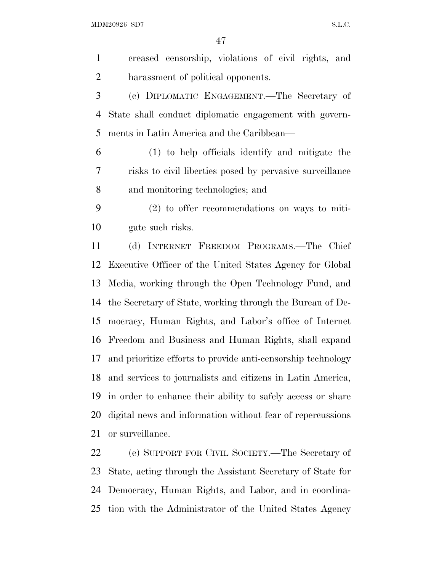MDM20926 SD7 S.L.C.

 creased censorship, violations of civil rights, and harassment of political opponents. (c) DIPLOMATIC ENGAGEMENT.—The Secretary of State shall conduct diplomatic engagement with govern- ments in Latin America and the Caribbean— (1) to help officials identify and mitigate the risks to civil liberties posed by pervasive surveillance and monitoring technologies; and (2) to offer recommendations on ways to miti- gate such risks. (d) INTERNET FREEDOM PROGRAMS.—The Chief Executive Officer of the United States Agency for Global Media, working through the Open Technology Fund, and the Secretary of State, working through the Bureau of De- mocracy, Human Rights, and Labor's office of Internet Freedom and Business and Human Rights, shall expand and prioritize efforts to provide anti-censorship technology and services to journalists and citizens in Latin America, in order to enhance their ability to safely access or share digital news and information without fear of repercussions or surveillance. (e) SUPPORT FOR CIVIL SOCIETY.—The Secretary of State, acting through the Assistant Secretary of State for

 Democracy, Human Rights, and Labor, and in coordina-tion with the Administrator of the United States Agency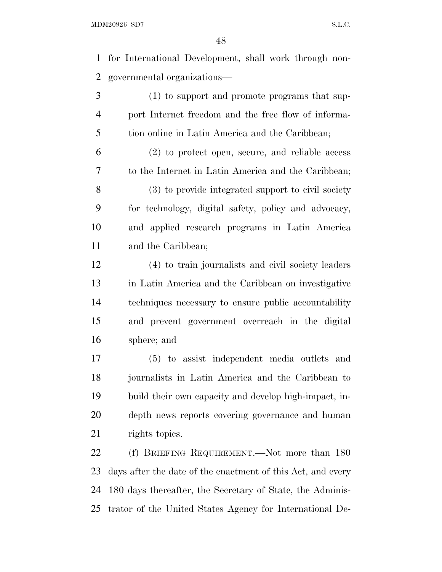for International Development, shall work through non-governmental organizations—

 (1) to support and promote programs that sup- port Internet freedom and the free flow of informa-tion online in Latin America and the Caribbean;

 (2) to protect open, secure, and reliable access to the Internet in Latin America and the Caribbean; (3) to provide integrated support to civil society for technology, digital safety, policy and advocacy, and applied research programs in Latin America and the Caribbean;

 (4) to train journalists and civil society leaders in Latin America and the Caribbean on investigative techniques necessary to ensure public accountability and prevent government overreach in the digital sphere; and

 (5) to assist independent media outlets and journalists in Latin America and the Caribbean to build their own capacity and develop high-impact, in- depth news reports covering governance and human 21 rights topics.

 (f) BRIEFING REQUIREMENT.—Not more than 180 days after the date of the enactment of this Act, and every 180 days thereafter, the Secretary of State, the Adminis-trator of the United States Agency for International De-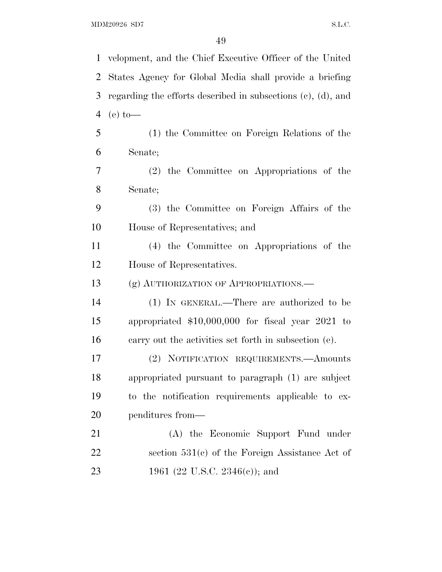velopment, and the Chief Executive Officer of the United States Agency for Global Media shall provide a briefing regarding the efforts described in subsections (c), (d), and (e) to— (1) the Committee on Foreign Relations of the Senate; (2) the Committee on Appropriations of the Senate; (3) the Committee on Foreign Affairs of the House of Representatives; and (4) the Committee on Appropriations of the House of Representatives. (g) AUTHORIZATION OF APPROPRIATIONS.— (1) IN GENERAL.—There are authorized to be appropriated \$10,000,000 for fiscal year 2021 to carry out the activities set forth in subsection (e). (2) NOTIFICATION REQUIREMENTS.—Amounts appropriated pursuant to paragraph (1) are subject to the notification requirements applicable to ex- penditures from— (A) the Economic Support Fund under section 531(c) of the Foreign Assistance Act of 23 1961 (22 U.S.C. 2346(e)); and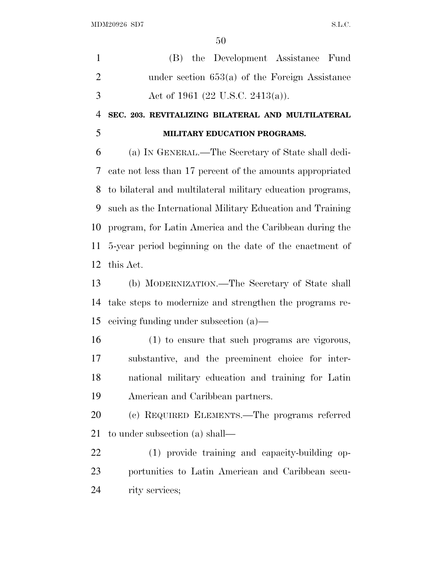(B) the Development Assistance Fund under section 653(a) of the Foreign Assistance 3 Act of 1961 (22 U.S.C. 2413(a)). **SEC. 203. REVITALIZING BILATERAL AND MULTILATERAL MILITARY EDUCATION PROGRAMS.** 

 (a) IN GENERAL.—The Secretary of State shall dedi- cate not less than 17 percent of the amounts appropriated to bilateral and multilateral military education programs, such as the International Military Education and Training program, for Latin America and the Caribbean during the 5-year period beginning on the date of the enactment of this Act.

 (b) MODERNIZATION.—The Secretary of State shall take steps to modernize and strengthen the programs re-ceiving funding under subsection (a)—

 (1) to ensure that such programs are vigorous, substantive, and the preeminent choice for inter- national military education and training for Latin American and Caribbean partners.

 (c) REQUIRED ELEMENTS.—The programs referred to under subsection (a) shall—

 (1) provide training and capacity-building op- portunities to Latin American and Caribbean secu-rity services;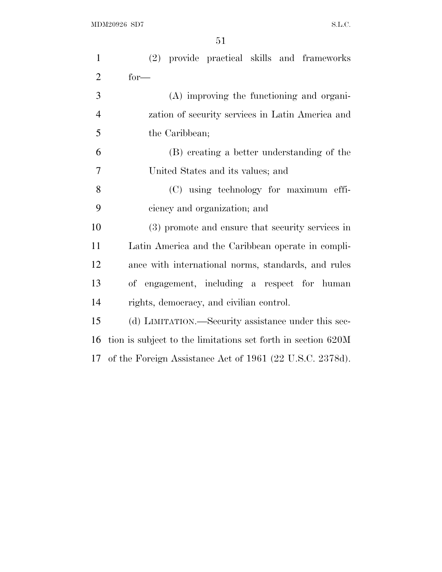| $\mathbf{1}$   | (2) provide practical skills and frameworks                  |
|----------------|--------------------------------------------------------------|
| $\overline{2}$ | $for-$                                                       |
| 3              | (A) improving the functioning and organi-                    |
| $\overline{4}$ | zation of security services in Latin America and             |
| 5              | the Caribbean;                                               |
| 6              | (B) creating a better understanding of the                   |
| 7              | United States and its values; and                            |
| 8              | (C) using technology for maximum effi-                       |
| 9              | ciency and organization; and                                 |
| 10             | (3) promote and ensure that security services in             |
| 11             | Latin America and the Caribbean operate in compli-           |
| 12             | ance with international norms, standards, and rules          |
| 13             | of engagement, including a respect for human                 |
| 14             | rights, democracy, and civilian control.                     |
| 15             | (d) LIMITATION.—Security assistance under this sec-          |
| 16             | tion is subject to the limitations set forth in section 620M |
|                | 17 of the Foreign Assistance Act of 1961 (22 U.S.C. 2378d).  |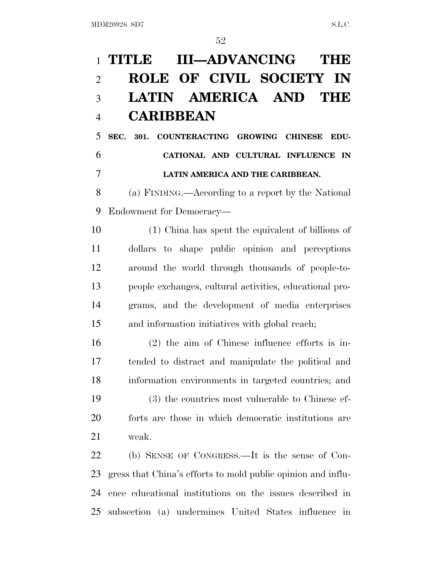## **TITLE III—ADVANCING THE ROLE OF CIVIL SOCIETY IN LATIN AMERICA AND THE CARIBBEAN**

 **SEC. 301. COUNTERACTING GROWING CHINESE EDU- CATIONAL AND CULTURAL INFLUENCE IN LATIN AMERICA AND THE CARIBBEAN.** 

 (a) FINDING.—According to a report by the National Endowment for Democracy—

 (1) China has spent the equivalent of billions of dollars to shape public opinion and perceptions around the world through thousands of people-to- people exchanges, cultural activities, educational pro- grams, and the development of media enterprises and information initiatives with global reach;

 (2) the aim of Chinese influence efforts is in- tended to distract and manipulate the political and information environments in targeted countries; and

 (3) the countries most vulnerable to Chinese ef- forts are those in which democratic institutions are weak.

 (b) SENSE OF CONGRESS.—It is the sense of Con- gress that China's efforts to mold public opinion and influ- ence educational institutions on the issues described in subsection (a) undermines United States influence in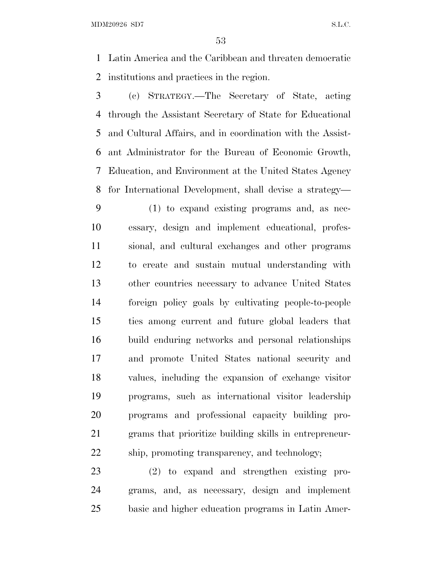MDM20926 SD7 S.L.C.

 Latin America and the Caribbean and threaten democratic institutions and practices in the region.

 (c) STRATEGY.—The Secretary of State, acting through the Assistant Secretary of State for Educational and Cultural Affairs, and in coordination with the Assist- ant Administrator for the Bureau of Economic Growth, Education, and Environment at the United States Agency for International Development, shall devise a strategy—

 (1) to expand existing programs and, as nec- essary, design and implement educational, profes- sional, and cultural exchanges and other programs to create and sustain mutual understanding with other countries necessary to advance United States foreign policy goals by cultivating people-to-people ties among current and future global leaders that build enduring networks and personal relationships and promote United States national security and values, including the expansion of exchange visitor programs, such as international visitor leadership programs and professional capacity building pro- grams that prioritize building skills in entrepreneur-ship, promoting transparency, and technology;

 (2) to expand and strengthen existing pro- grams, and, as necessary, design and implement basic and higher education programs in Latin Amer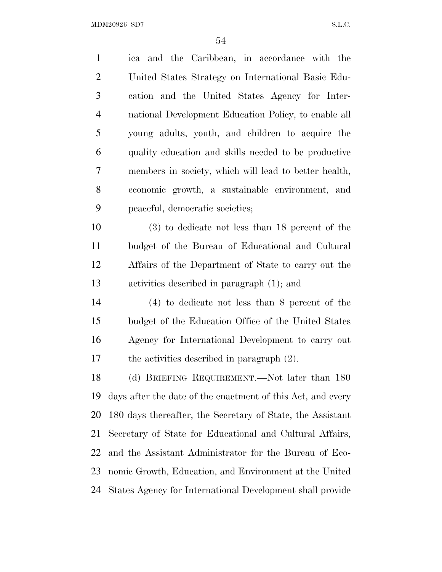$\rm MDM20926 \,\, SD7 \,\, \rm S.L.C.$ 

| $\mathbf{1}$   | ica and the Caribbean, in accordance with the               |
|----------------|-------------------------------------------------------------|
| $\overline{2}$ | United States Strategy on International Basic Edu-          |
| 3              | cation and the United States Agency for Inter-              |
| $\overline{4}$ | national Development Education Policy, to enable all        |
| 5              | young adults, youth, and children to acquire the            |
| 6              | quality education and skills needed to be productive        |
| 7              | members in society, which will lead to better health,       |
| $8\,$          | economic growth, a sustainable environment, and             |
| 9              | peaceful, democratic societies;                             |
| 10             | $(3)$ to dedicate not less than 18 percent of the           |
| 11             | budget of the Bureau of Educational and Cultural            |
| 12             | Affairs of the Department of State to carry out the         |
| 13             | activities described in paragraph (1); and                  |
| 14             | $(4)$ to dedicate not less than 8 percent of the            |
| 15             | budget of the Education Office of the United States         |
| 16             | Agency for International Development to carry out           |
| 17             | the activities described in paragraph $(2)$ .               |
| 18             | (d) BRIEFING REQUIREMENT.—Not later than 180                |
| 19             | days after the date of the enactment of this Act, and every |
| 20             | 180 days thereafter, the Secretary of State, the Assistant  |
| 21             | Secretary of State for Educational and Cultural Affairs,    |
| 22             | and the Assistant Administrator for the Bureau of Eco-      |
| 23             | nomic Growth, Education, and Environment at the United      |
| 24             | States Agency for International Development shall provide   |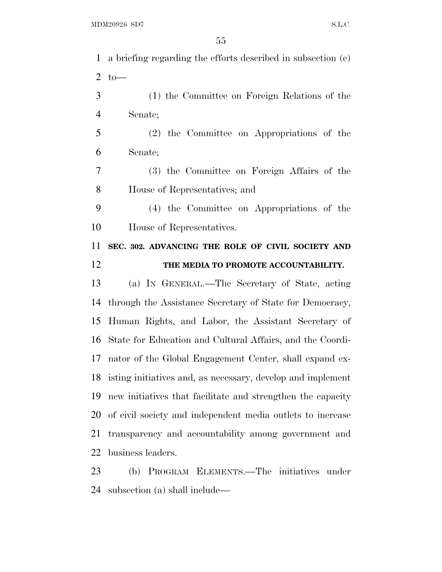| $\mathbf{1}$   | a briefing regarding the efforts described in subsection (c)   |
|----------------|----------------------------------------------------------------|
| $\overline{2}$ | $to-$                                                          |
| 3              | (1) the Committee on Foreign Relations of the                  |
| $\overline{4}$ | Senate;                                                        |
| 5              | (2) the Committee on Appropriations of the                     |
| 6              | Senate;                                                        |
| $\tau$         | (3) the Committee on Foreign Affairs of the                    |
| 8              | House of Representatives; and                                  |
| 9              | (4) the Committee on Appropriations of the                     |
| 10             | House of Representatives.                                      |
| 11             | SEC. 302. ADVANCING THE ROLE OF CIVIL SOCIETY AND              |
| 12             | THE MEDIA TO PROMOTE ACCOUNTABILITY.                           |
|                |                                                                |
| 13             | (a) IN GENERAL.—The Secretary of State, acting                 |
| 14             | through the Assistance Secretary of State for Democracy,       |
| 15             | Human Rights, and Labor, the Assistant Secretary of            |
| 16             | State for Education and Cultural Affairs, and the Coordi-      |
| 17             | nator of the Global Engagement Center, shall expand ex-        |
|                | 18 isting initiatives and, as necessary, develop and implement |
| 19             | new initiatives that facilitate and strengthen the capacity    |
| 20             | of civil society and independent media outlets to increase     |
| 21             | transparency and accountability among government and           |
| 22             | business leaders.                                              |

subsection (a) shall include—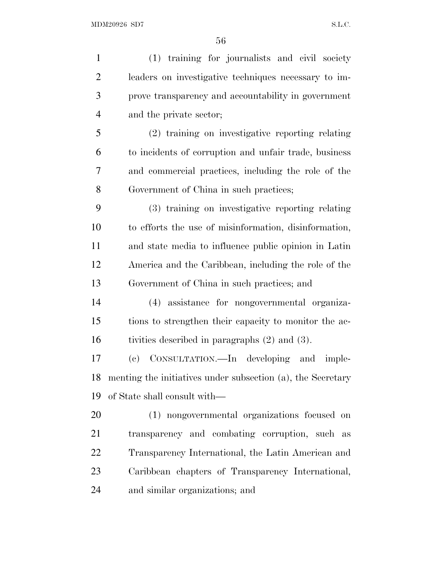(1) training for journalists and civil society leaders on investigative techniques necessary to im- prove transparency and accountability in government and the private sector; (2) training on investigative reporting relating to incidents of corruption and unfair trade, business and commercial practices, including the role of the Government of China in such practices; (3) training on investigative reporting relating to efforts the use of misinformation, disinformation, and state media to influence public opinion in Latin America and the Caribbean, including the role of the Government of China in such practices; and (4) assistance for nongovernmental organiza- tions to strengthen their capacity to monitor the ac- tivities described in paragraphs (2) and (3). (c) CONSULTATION.—In developing and imple- menting the initiatives under subsection (a), the Secretary of State shall consult with— (1) nongovernmental organizations focused on transparency and combating corruption, such as Transparency International, the Latin American and Caribbean chapters of Transparency International, and similar organizations; and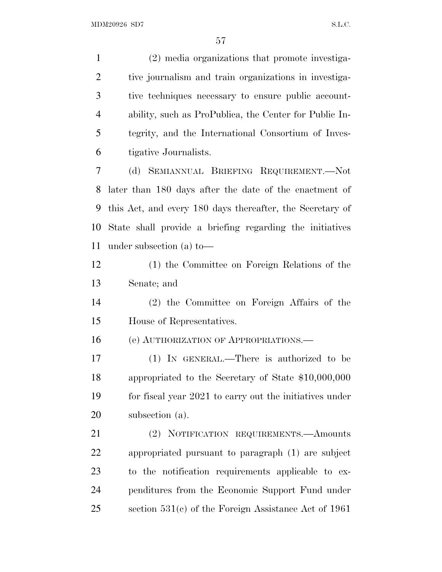(2) media organizations that promote investiga- tive journalism and train organizations in investiga- tive techniques necessary to ensure public account- ability, such as ProPublica, the Center for Public In- tegrity, and the International Consortium of Inves- tigative Journalists. (d) SEMIANNUAL BRIEFING REQUIREMENT.—Not later than 180 days after the date of the enactment of this Act, and every 180 days thereafter, the Secretary of State shall provide a briefing regarding the initiatives under subsection (a) to— (1) the Committee on Foreign Relations of the Senate; and (2) the Committee on Foreign Affairs of the House of Representatives. (e) AUTHORIZATION OF APPROPRIATIONS.—

 (1) IN GENERAL.—There is authorized to be appropriated to the Secretary of State \$10,000,000 for fiscal year 2021 to carry out the initiatives under subsection (a).

 (2) NOTIFICATION REQUIREMENTS.—Amounts appropriated pursuant to paragraph (1) are subject to the notification requirements applicable to ex- penditures from the Economic Support Fund under section 531(c) of the Foreign Assistance Act of 1961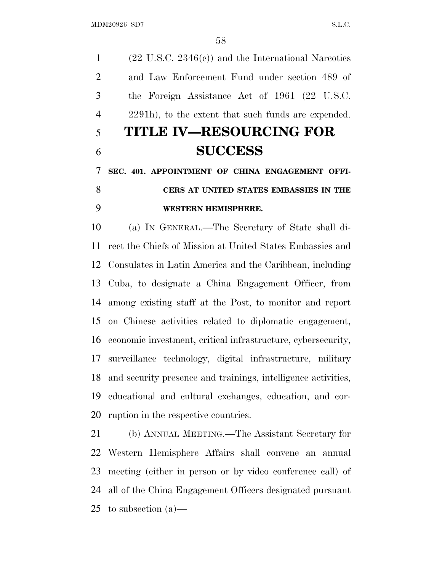(22 U.S.C. 2346(c)) and the International Narcotics and Law Enforcement Fund under section 489 of the Foreign Assistance Act of 1961 (22 U.S.C. 2291h), to the extent that such funds are expended. **TITLE IV—RESOURCING FOR SUCCESS SEC. 401. APPOINTMENT OF CHINA ENGAGEMENT OFFI- CERS AT UNITED STATES EMBASSIES IN THE WESTERN HEMISPHERE.**  (a) IN GENERAL.—The Secretary of State shall di- rect the Chiefs of Mission at United States Embassies and Consulates in Latin America and the Caribbean, including Cuba, to designate a China Engagement Officer, from

 among existing staff at the Post, to monitor and report on Chinese activities related to diplomatic engagement, economic investment, critical infrastructure, cybersecurity, surveillance technology, digital infrastructure, military and security presence and trainings, intelligence activities, educational and cultural exchanges, education, and cor-ruption in the respective countries.

 (b) ANNUAL MEETING.—The Assistant Secretary for Western Hemisphere Affairs shall convene an annual meeting (either in person or by video conference call) of all of the China Engagement Officers designated pursuant to subsection (a)—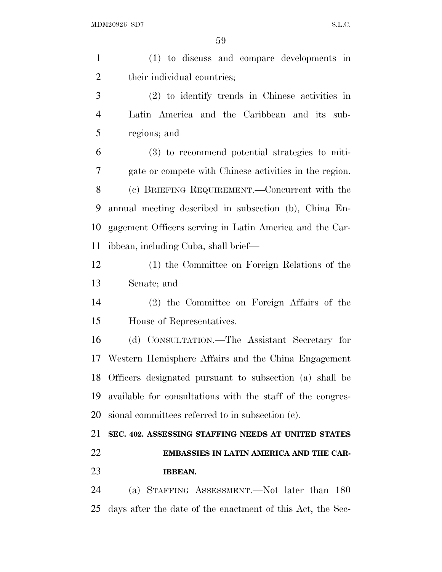| $\mathbf{1}$   | (1) to discuss and compare developments in                 |
|----------------|------------------------------------------------------------|
| $\overline{2}$ | their individual countries;                                |
| 3              | $(2)$ to identify trends in Chinese activities in          |
| $\overline{4}$ | Latin America and the Caribbean and its sub-               |
| 5              | regions; and                                               |
| 6              | (3) to recommend potential strategies to miti-             |
| 7              | gate or compete with Chinese activities in the region.     |
| 8              | (c) BRIEFING REQUIREMENT.—Concurrent with the              |
| 9              | annual meeting described in subsection (b), China En-      |
| 10             | gagement Officers serving in Latin America and the Car-    |
| 11             | ibbean, including Cuba, shall brief—                       |
| 12             | (1) the Committee on Foreign Relations of the              |
| 13             | Senate; and                                                |
| 14             | (2) the Committee on Foreign Affairs of the                |
| 15             | House of Representatives.                                  |
| 16             | (d) CONSULTATION.—The Assistant Secretary for              |
| 17             | Western Hemisphere Affairs and the China Engagement        |
| 18             | Officers designated pursuant to subsection (a) shall be    |
| 19             | available for consultations with the staff of the congres- |
| 20             | sional committees referred to in subsection (c).           |
| 21             | SEC. 402. ASSESSING STAFFING NEEDS AT UNITED STATES        |
| 22             | EMBASSIES IN LATIN AMERICA AND THE CAR-                    |
| 23             | <b>IBBEAN.</b>                                             |
| 24             | (a) STAFFING ASSESSMENT.—Not later than 180                |
| 25             | days after the date of the enactment of this Act, the Sec- |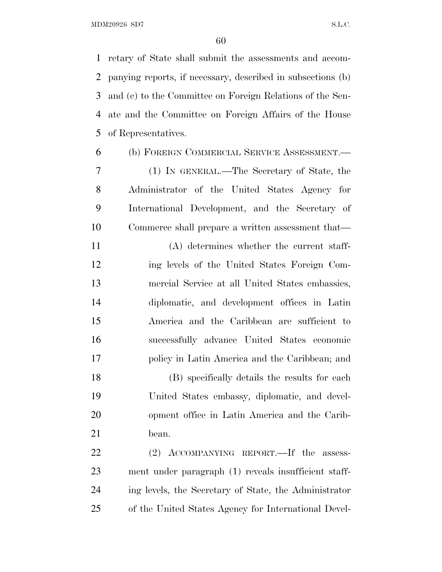retary of State shall submit the assessments and accom- panying reports, if necessary, described in subsections (b) and (c) to the Committee on Foreign Relations of the Sen- ate and the Committee on Foreign Affairs of the House of Representatives.

 (b) FOREIGN COMMERCIAL SERVICE ASSESSMENT.— (1) IN GENERAL.—The Secretary of State, the Administrator of the United States Agency for International Development, and the Secretary of Commerce shall prepare a written assessment that—

 (A) determines whether the current staff- ing levels of the United States Foreign Com- mercial Service at all United States embassies, diplomatic, and development offices in Latin America and the Caribbean are sufficient to successfully advance United States economic policy in Latin America and the Caribbean; and

 (B) specifically details the results for each United States embassy, diplomatic, and devel- opment office in Latin America and the Carib-bean.

22 (2) ACCOMPANYING REPORT.—If the assess- ment under paragraph (1) reveals insufficient staff- ing levels, the Secretary of State, the Administrator of the United States Agency for International Devel-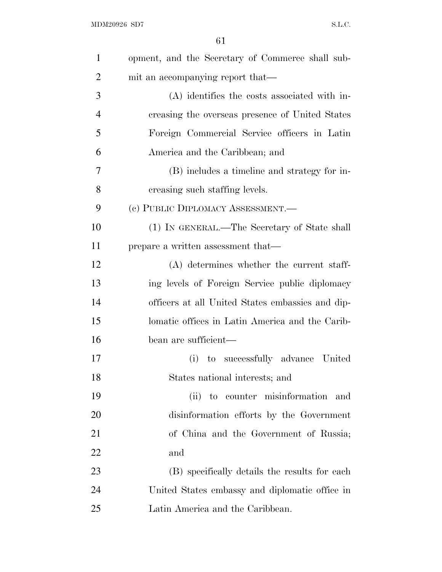| $\mathbf{1}$   | opment, and the Secretary of Commerce shall sub- |
|----------------|--------------------------------------------------|
| $\overline{2}$ | mit an accompanying report that—                 |
| 3              | (A) identifies the costs associated with in-     |
| $\overline{4}$ | creasing the overseas presence of United States  |
| 5              | Foreign Commercial Service officers in Latin     |
| 6              | America and the Caribbean; and                   |
| 7              | (B) includes a timeline and strategy for in-     |
| 8              | creasing such staffing levels.                   |
| 9              | (c) PUBLIC DIPLOMACY ASSESSMENT.—                |
| 10             | (1) IN GENERAL.—The Secretary of State shall     |
| 11             | prepare a written assessment that—               |
| 12             | (A) determines whether the current staff-        |
| 13             | ing levels of Foreign Service public diplomacy   |
| 14             | officers at all United States embassies and dip- |
| 15             | lomatic offices in Latin America and the Carib-  |
| 16             | bean are sufficient—                             |
| 17             | to successfully advance United<br>(i)            |
| 18             | States national interests; and                   |
| 19             | to counter misinformation<br>(ii)<br>and         |
| 20             | disinformation efforts by the Government         |
| 21             | of China and the Government of Russia;           |
| 22             | and                                              |
| 23             | (B) specifically details the results for each    |
| 24             | United States embassy and diplomatic office in   |
| 25             | Latin America and the Caribbean.                 |